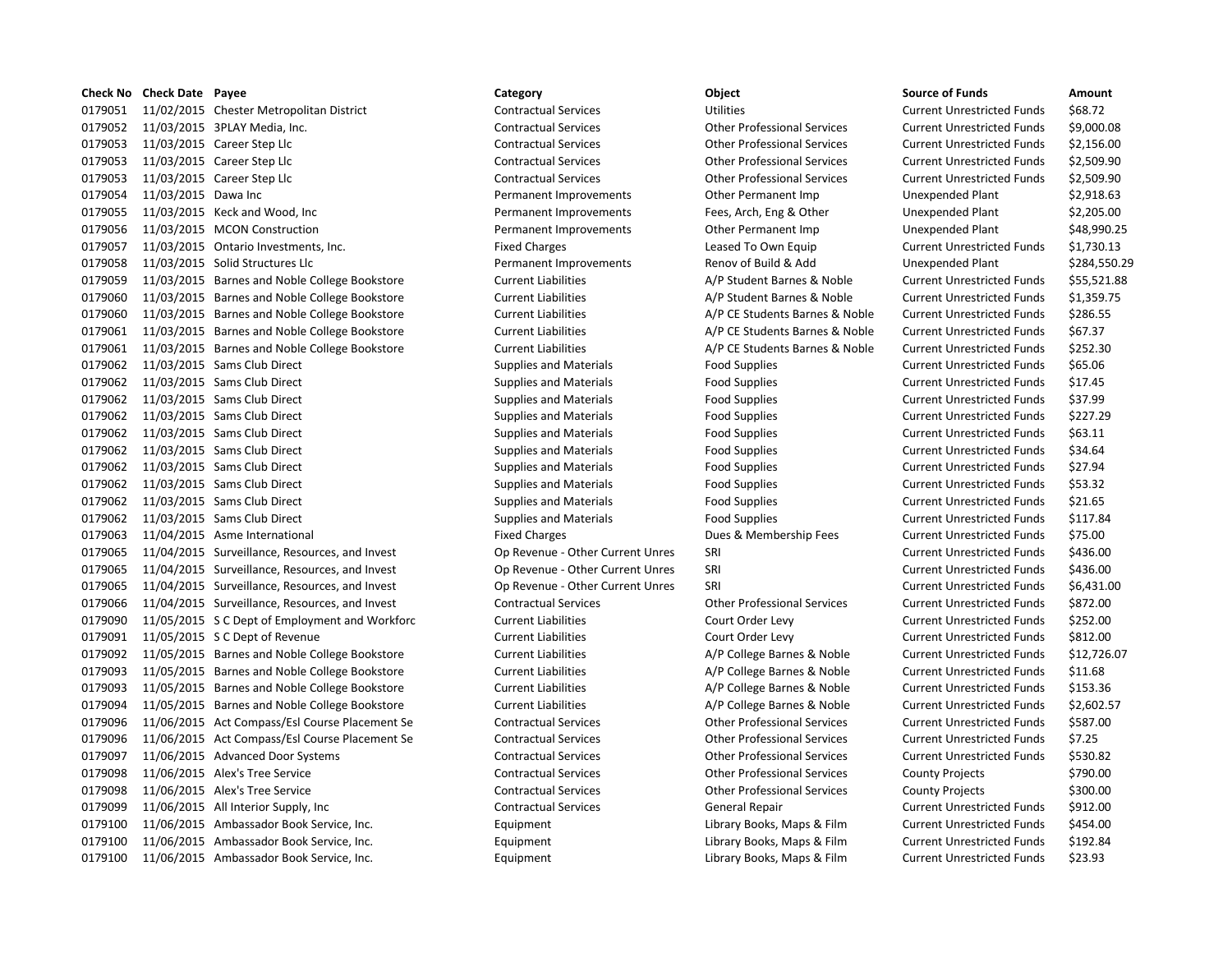|         | <b>Check No Check Date Payee</b> |                                                | Category                         | Object                             | <b>Source of Funds</b>            | Amount       |
|---------|----------------------------------|------------------------------------------------|----------------------------------|------------------------------------|-----------------------------------|--------------|
| 0179051 |                                  | 11/02/2015 Chester Metropolitan District       | <b>Contractual Services</b>      | <b>Utilities</b>                   | <b>Current Unrestricted Funds</b> | \$68.72      |
| 0179052 |                                  | 11/03/2015 3PLAY Media, Inc.                   | <b>Contractual Services</b>      | <b>Other Professional Services</b> | <b>Current Unrestricted Funds</b> | \$9,000.08   |
| 0179053 |                                  | 11/03/2015 Career Step Llc                     | <b>Contractual Services</b>      | <b>Other Professional Services</b> | <b>Current Unrestricted Funds</b> | \$2,156.00   |
| 0179053 |                                  | 11/03/2015 Career Step Llc                     | <b>Contractual Services</b>      | <b>Other Professional Services</b> | <b>Current Unrestricted Funds</b> | \$2,509.90   |
| 0179053 |                                  | 11/03/2015 Career Step Llc                     | <b>Contractual Services</b>      | <b>Other Professional Services</b> | <b>Current Unrestricted Funds</b> | \$2,509.90   |
| 0179054 | 11/03/2015 Dawa Inc              |                                                | Permanent Improvements           | Other Permanent Imp                | Unexpended Plant                  | \$2,918.63   |
| 0179055 |                                  | 11/03/2015 Keck and Wood, Inc.                 | Permanent Improvements           | Fees, Arch, Eng & Other            | Unexpended Plant                  | \$2,205.00   |
| 0179056 |                                  | 11/03/2015 MCON Construction                   | Permanent Improvements           | Other Permanent Imp                | Unexpended Plant                  | \$48,990.25  |
| 0179057 |                                  | 11/03/2015 Ontario Investments, Inc.           | <b>Fixed Charges</b>             | Leased To Own Equip                | <b>Current Unrestricted Funds</b> | \$1,730.13   |
| 0179058 |                                  | 11/03/2015 Solid Structures Llc                | Permanent Improvements           | Renov of Build & Add               | <b>Unexpended Plant</b>           | \$284,550.29 |
| 0179059 |                                  | 11/03/2015 Barnes and Noble College Bookstore  | <b>Current Liabilities</b>       | A/P Student Barnes & Noble         | <b>Current Unrestricted Funds</b> | \$55,521.88  |
| 0179060 |                                  | 11/03/2015 Barnes and Noble College Bookstore  | <b>Current Liabilities</b>       | A/P Student Barnes & Noble         | <b>Current Unrestricted Funds</b> | \$1,359.75   |
| 0179060 |                                  | 11/03/2015 Barnes and Noble College Bookstore  | <b>Current Liabilities</b>       | A/P CE Students Barnes & Noble     | <b>Current Unrestricted Funds</b> | \$286.55     |
| 0179061 |                                  | 11/03/2015 Barnes and Noble College Bookstore  | <b>Current Liabilities</b>       | A/P CE Students Barnes & Noble     | <b>Current Unrestricted Funds</b> | \$67.37      |
| 0179061 |                                  | 11/03/2015 Barnes and Noble College Bookstore  | <b>Current Liabilities</b>       | A/P CE Students Barnes & Noble     | <b>Current Unrestricted Funds</b> | \$252.30     |
| 0179062 |                                  | 11/03/2015 Sams Club Direct                    | Supplies and Materials           | <b>Food Supplies</b>               | <b>Current Unrestricted Funds</b> | \$65.06      |
| 0179062 |                                  | 11/03/2015 Sams Club Direct                    | <b>Supplies and Materials</b>    | <b>Food Supplies</b>               | <b>Current Unrestricted Funds</b> | \$17.45      |
| 0179062 |                                  | 11/03/2015 Sams Club Direct                    | <b>Supplies and Materials</b>    | <b>Food Supplies</b>               | <b>Current Unrestricted Funds</b> | \$37.99      |
| 0179062 |                                  | 11/03/2015 Sams Club Direct                    | <b>Supplies and Materials</b>    | <b>Food Supplies</b>               | <b>Current Unrestricted Funds</b> | \$227.29     |
| 0179062 |                                  | 11/03/2015 Sams Club Direct                    | <b>Supplies and Materials</b>    | <b>Food Supplies</b>               | <b>Current Unrestricted Funds</b> | \$63.11      |
| 0179062 |                                  | 11/03/2015 Sams Club Direct                    | <b>Supplies and Materials</b>    | <b>Food Supplies</b>               | <b>Current Unrestricted Funds</b> | \$34.64      |
| 0179062 |                                  | 11/03/2015 Sams Club Direct                    | <b>Supplies and Materials</b>    | <b>Food Supplies</b>               | <b>Current Unrestricted Funds</b> | \$27.94      |
| 0179062 |                                  | 11/03/2015 Sams Club Direct                    | Supplies and Materials           | <b>Food Supplies</b>               | <b>Current Unrestricted Funds</b> | \$53.32      |
| 0179062 |                                  | 11/03/2015 Sams Club Direct                    | <b>Supplies and Materials</b>    | <b>Food Supplies</b>               | <b>Current Unrestricted Funds</b> | \$21.65      |
| 0179062 |                                  | 11/03/2015 Sams Club Direct                    | <b>Supplies and Materials</b>    | <b>Food Supplies</b>               | <b>Current Unrestricted Funds</b> | \$117.84     |
| 0179063 |                                  | 11/04/2015 Asme International                  | <b>Fixed Charges</b>             | Dues & Membership Fees             | <b>Current Unrestricted Funds</b> | \$75.00      |
| 0179065 |                                  | 11/04/2015 Surveillance, Resources, and Invest | Op Revenue - Other Current Unres | SRI                                | <b>Current Unrestricted Funds</b> | \$436.00     |
| 0179065 |                                  | 11/04/2015 Surveillance, Resources, and Invest | Op Revenue - Other Current Unres | SRI                                | <b>Current Unrestricted Funds</b> | \$436.00     |
| 0179065 |                                  | 11/04/2015 Surveillance, Resources, and Invest | Op Revenue - Other Current Unres | SRI                                | <b>Current Unrestricted Funds</b> | \$6,431.00   |
| 0179066 |                                  | 11/04/2015 Surveillance, Resources, and Invest | <b>Contractual Services</b>      | <b>Other Professional Services</b> | <b>Current Unrestricted Funds</b> | \$872.00     |
| 0179090 |                                  | 11/05/2015 S C Dept of Employment and Workforc | <b>Current Liabilities</b>       | Court Order Levy                   | <b>Current Unrestricted Funds</b> | \$252.00     |
| 0179091 |                                  | 11/05/2015 S C Dept of Revenue                 | <b>Current Liabilities</b>       | Court Order Levy                   | <b>Current Unrestricted Funds</b> | \$812.00     |
| 0179092 |                                  | 11/05/2015 Barnes and Noble College Bookstore  | <b>Current Liabilities</b>       | A/P College Barnes & Noble         | <b>Current Unrestricted Funds</b> | \$12,726.07  |
| 0179093 |                                  | 11/05/2015 Barnes and Noble College Bookstore  | <b>Current Liabilities</b>       | A/P College Barnes & Noble         | <b>Current Unrestricted Funds</b> | \$11.68      |
| 0179093 |                                  | 11/05/2015 Barnes and Noble College Bookstore  | <b>Current Liabilities</b>       | A/P College Barnes & Noble         | <b>Current Unrestricted Funds</b> | \$153.36     |
| 0179094 |                                  | 11/05/2015 Barnes and Noble College Bookstore  | <b>Current Liabilities</b>       | A/P College Barnes & Noble         | <b>Current Unrestricted Funds</b> | \$2,602.57   |
| 0179096 |                                  | 11/06/2015 Act Compass/Esl Course Placement Se | <b>Contractual Services</b>      | <b>Other Professional Services</b> | <b>Current Unrestricted Funds</b> | \$587.00     |
| 0179096 |                                  | 11/06/2015 Act Compass/Esl Course Placement Se | <b>Contractual Services</b>      | <b>Other Professional Services</b> | <b>Current Unrestricted Funds</b> | \$7.25       |
| 0179097 |                                  | 11/06/2015 Advanced Door Systems               | <b>Contractual Services</b>      | <b>Other Professional Services</b> | <b>Current Unrestricted Funds</b> | \$530.82     |
| 0179098 |                                  | 11/06/2015 Alex's Tree Service                 | <b>Contractual Services</b>      | <b>Other Professional Services</b> | County Projects                   | \$790.00     |
| 0179098 |                                  | 11/06/2015 Alex's Tree Service                 | <b>Contractual Services</b>      | <b>Other Professional Services</b> | <b>County Projects</b>            | \$300.00     |
| 0179099 |                                  | 11/06/2015 All Interior Supply, Inc            | <b>Contractual Services</b>      | <b>General Repair</b>              | <b>Current Unrestricted Funds</b> | \$912.00     |
| 0179100 |                                  | 11/06/2015 Ambassador Book Service, Inc.       | Equipment                        | Library Books, Maps & Film         | <b>Current Unrestricted Funds</b> | \$454.00     |
| 0179100 |                                  | 11/06/2015 Ambassador Book Service, Inc.       | Equipment                        | Library Books, Maps & Film         | <b>Current Unrestricted Funds</b> | \$192.84     |
| 0179100 |                                  | 11/06/2015 Ambassador Book Service, Inc.       | Equipment                        | Library Books, Maps & Film         | <b>Current Unrestricted Funds</b> | \$23.93      |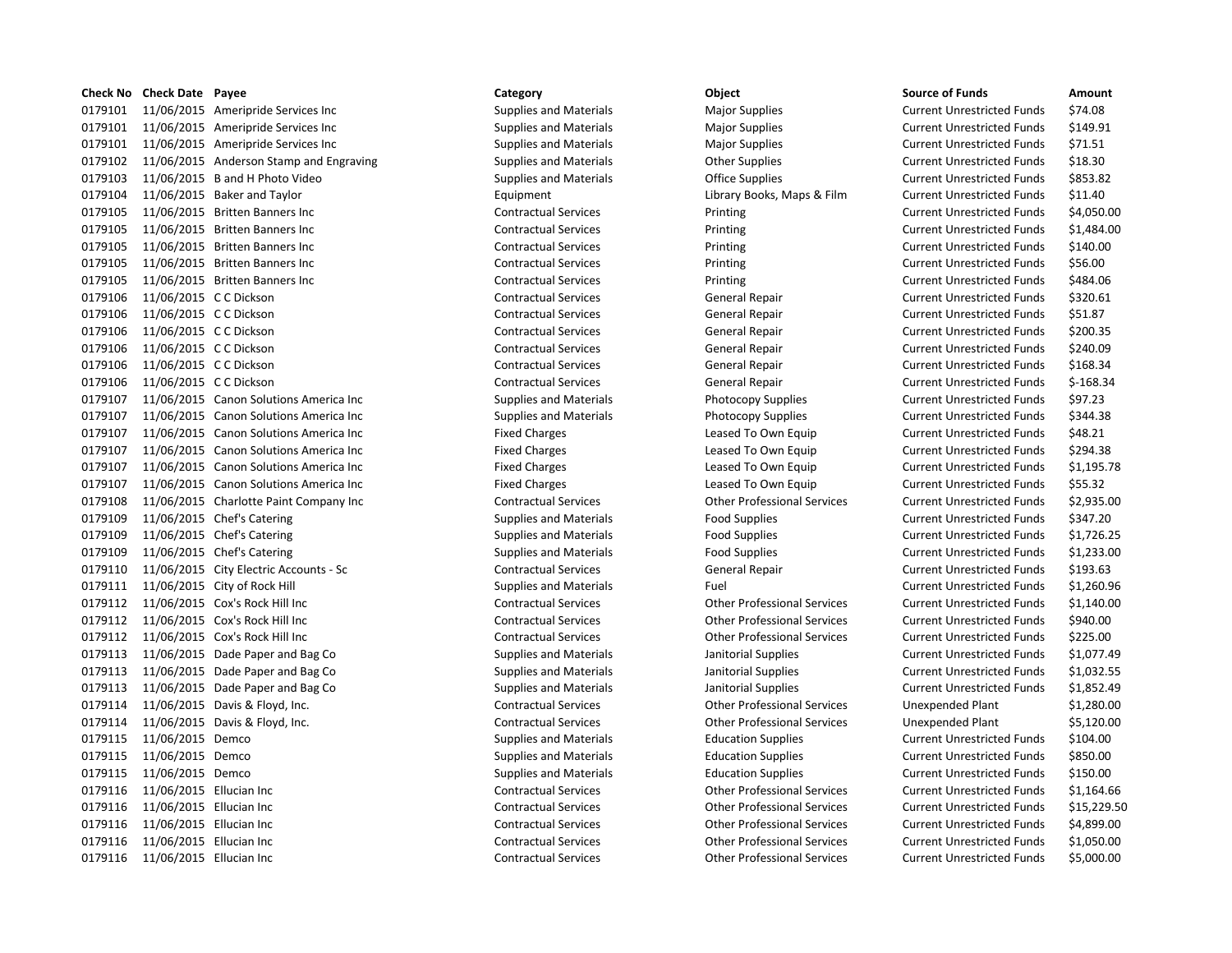|         | Check No Check Date Payee |                                         | Category                      | Object                             | <b>Source of Funds</b>            | Amount     |
|---------|---------------------------|-----------------------------------------|-------------------------------|------------------------------------|-----------------------------------|------------|
| 0179101 |                           | 11/06/2015 Ameripride Services Inc      | <b>Supplies and Materials</b> | <b>Major Supplies</b>              | <b>Current Unrestricted Funds</b> | \$74.08    |
| 0179101 |                           | 11/06/2015 Ameripride Services Inc      | <b>Supplies and Materials</b> | <b>Major Supplies</b>              | <b>Current Unrestricted Funds</b> | \$149.91   |
| 0179101 |                           | 11/06/2015 Ameripride Services Inc      | <b>Supplies and Materials</b> | <b>Major Supplies</b>              | <b>Current Unrestricted Funds</b> | \$71.51    |
| 0179102 |                           | 11/06/2015 Anderson Stamp and Engraving | <b>Supplies and Materials</b> | <b>Other Supplies</b>              | <b>Current Unrestricted Funds</b> | \$18.30    |
| 0179103 |                           | 11/06/2015 B and H Photo Video          | <b>Supplies and Materials</b> | <b>Office Supplies</b>             | <b>Current Unrestricted Funds</b> | \$853.82   |
| 0179104 |                           | 11/06/2015 Baker and Taylor             | Equipment                     | Library Books, Maps & Film         | <b>Current Unrestricted Funds</b> | \$11.40    |
| 0179105 |                           | 11/06/2015 Britten Banners Inc          | <b>Contractual Services</b>   | Printing                           | <b>Current Unrestricted Funds</b> | \$4,050.00 |
| 0179105 |                           | 11/06/2015 Britten Banners Inc          | <b>Contractual Services</b>   | Printing                           | <b>Current Unrestricted Funds</b> | \$1,484.00 |
| 0179105 |                           | 11/06/2015 Britten Banners Inc          | <b>Contractual Services</b>   | Printing                           | <b>Current Unrestricted Funds</b> | \$140.00   |
| 0179105 |                           | 11/06/2015 Britten Banners Inc          | <b>Contractual Services</b>   | Printing                           | <b>Current Unrestricted Funds</b> | \$56.00    |
| 0179105 |                           | 11/06/2015 Britten Banners Inc          | <b>Contractual Services</b>   | Printing                           | <b>Current Unrestricted Funds</b> | \$484.06   |
| 0179106 | 11/06/2015 C C Dickson    |                                         | <b>Contractual Services</b>   | <b>General Repair</b>              | <b>Current Unrestricted Funds</b> | \$320.61   |
| 0179106 | 11/06/2015 C C Dickson    |                                         | <b>Contractual Services</b>   | <b>General Repair</b>              | <b>Current Unrestricted Funds</b> | \$51.87    |
| 0179106 | 11/06/2015 C C Dickson    |                                         | <b>Contractual Services</b>   | <b>General Repair</b>              | <b>Current Unrestricted Funds</b> | \$200.35   |
| 0179106 | 11/06/2015 C C Dickson    |                                         | <b>Contractual Services</b>   | General Repair                     | <b>Current Unrestricted Funds</b> | \$240.09   |
| 0179106 | 11/06/2015 C C Dickson    |                                         | <b>Contractual Services</b>   | General Repair                     | <b>Current Unrestricted Funds</b> | \$168.34   |
| 0179106 | 11/06/2015 C C Dickson    |                                         | <b>Contractual Services</b>   | <b>General Repair</b>              | <b>Current Unrestricted Funds</b> | $$-168.34$ |
| 0179107 |                           | 11/06/2015 Canon Solutions America Inc  | <b>Supplies and Materials</b> | <b>Photocopy Supplies</b>          | <b>Current Unrestricted Funds</b> | \$97.23    |
| 0179107 |                           | 11/06/2015 Canon Solutions America Inc  | <b>Supplies and Materials</b> | <b>Photocopy Supplies</b>          | <b>Current Unrestricted Funds</b> | \$344.38   |
| 0179107 |                           | 11/06/2015 Canon Solutions America Inc  | <b>Fixed Charges</b>          | Leased To Own Equip                | <b>Current Unrestricted Funds</b> | \$48.21    |
| 0179107 |                           | 11/06/2015 Canon Solutions America Inc  | <b>Fixed Charges</b>          | Leased To Own Equip                | <b>Current Unrestricted Funds</b> | \$294.38   |
| 0179107 |                           | 11/06/2015 Canon Solutions America Inc  | <b>Fixed Charges</b>          | Leased To Own Equip                | <b>Current Unrestricted Funds</b> | \$1,195.78 |
| 0179107 |                           | 11/06/2015 Canon Solutions America Inc  | <b>Fixed Charges</b>          | Leased To Own Equip                | <b>Current Unrestricted Funds</b> | \$55.32    |
| 0179108 |                           | 11/06/2015 Charlotte Paint Company Inc  | <b>Contractual Services</b>   | <b>Other Professional Services</b> | <b>Current Unrestricted Funds</b> | \$2,935.00 |
| 0179109 |                           | 11/06/2015 Chef's Catering              | <b>Supplies and Materials</b> | <b>Food Supplies</b>               | <b>Current Unrestricted Funds</b> | \$347.20   |
| 0179109 |                           | 11/06/2015 Chef's Catering              | <b>Supplies and Materials</b> | <b>Food Supplies</b>               | <b>Current Unrestricted Funds</b> | \$1,726.25 |
| 0179109 |                           | 11/06/2015 Chef's Catering              | <b>Supplies and Materials</b> | <b>Food Supplies</b>               | <b>Current Unrestricted Funds</b> | \$1,233.00 |
| 0179110 |                           | 11/06/2015 City Electric Accounts - Sc  | <b>Contractual Services</b>   | <b>General Repair</b>              | <b>Current Unrestricted Funds</b> | \$193.63   |
| 0179111 |                           | 11/06/2015 City of Rock Hill            | <b>Supplies and Materials</b> | Fuel                               | <b>Current Unrestricted Funds</b> | \$1,260.96 |
| 0179112 |                           | 11/06/2015 Cox's Rock Hill Inc          | <b>Contractual Services</b>   | <b>Other Professional Services</b> | <b>Current Unrestricted Funds</b> | \$1,140.00 |
| 0179112 |                           | 11/06/2015 Cox's Rock Hill Inc          | <b>Contractual Services</b>   | <b>Other Professional Services</b> | <b>Current Unrestricted Funds</b> | \$940.00   |
| 0179112 |                           | 11/06/2015 Cox's Rock Hill Inc          | <b>Contractual Services</b>   | <b>Other Professional Services</b> | <b>Current Unrestricted Funds</b> | \$225.00   |
| 0179113 |                           | 11/06/2015 Dade Paper and Bag Co        | <b>Supplies and Materials</b> | Janitorial Supplies                | <b>Current Unrestricted Funds</b> | \$1,077.49 |
| 0179113 |                           | 11/06/2015 Dade Paper and Bag Co        | <b>Supplies and Materials</b> | Janitorial Supplies                | <b>Current Unrestricted Funds</b> | \$1,032.55 |
| 0179113 |                           | 11/06/2015 Dade Paper and Bag Co        | <b>Supplies and Materials</b> | Janitorial Supplies                | <b>Current Unrestricted Funds</b> | \$1,852.49 |
| 0179114 |                           | 11/06/2015 Davis & Floyd, Inc.          | <b>Contractual Services</b>   | <b>Other Professional Services</b> | <b>Unexpended Plant</b>           | \$1,280.00 |
| 0179114 |                           | 11/06/2015 Davis & Floyd, Inc.          | <b>Contractual Services</b>   | <b>Other Professional Services</b> | Unexpended Plant                  | \$5,120.00 |
| 0179115 | 11/06/2015 Demco          |                                         | <b>Supplies and Materials</b> | <b>Education Supplies</b>          | <b>Current Unrestricted Funds</b> | \$104.00   |
| 0179115 | 11/06/2015 Demco          |                                         | <b>Supplies and Materials</b> | <b>Education Supplies</b>          | <b>Current Unrestricted Funds</b> | \$850.00   |
| 0179115 | 11/06/2015 Demco          |                                         | <b>Supplies and Materials</b> | <b>Education Supplies</b>          | <b>Current Unrestricted Funds</b> | \$150.00   |
| 0179116 | 11/06/2015 Ellucian Inc   |                                         | <b>Contractual Services</b>   | <b>Other Professional Services</b> | <b>Current Unrestricted Funds</b> | \$1,164.66 |
| 0179116 | 11/06/2015 Ellucian Inc   |                                         | <b>Contractual Services</b>   | <b>Other Professional Services</b> | <b>Current Unrestricted Funds</b> | \$15,229.5 |
| 0179116 | 11/06/2015 Ellucian Inc   |                                         | <b>Contractual Services</b>   | <b>Other Professional Services</b> | <b>Current Unrestricted Funds</b> | \$4,899.00 |
| 0179116 | 11/06/2015 Ellucian Inc   |                                         | <b>Contractual Services</b>   | <b>Other Professional Services</b> | <b>Current Unrestricted Funds</b> | \$1,050.00 |
| 0179116 | 11/06/2015 Ellucian Inc   |                                         | <b>Contractual Services</b>   | <b>Other Professional Services</b> | <b>Current Unrestricted Funds</b> | \$5,000.00 |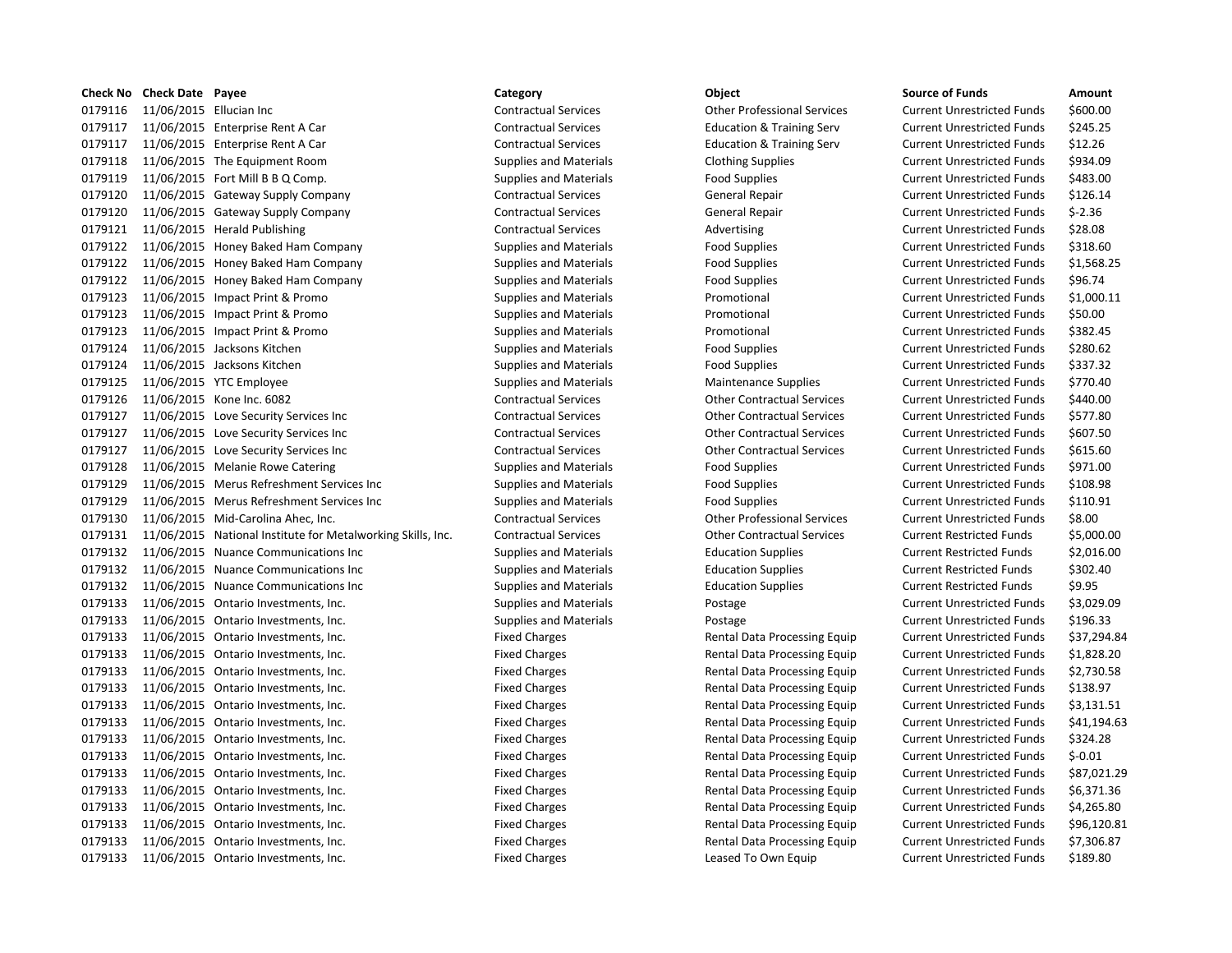|         | <b>Check No Check Date Payee</b> |                                                             | Category                      | Object                               | <b>Source of Funds</b>            | Amount    |
|---------|----------------------------------|-------------------------------------------------------------|-------------------------------|--------------------------------------|-----------------------------------|-----------|
| 0179116 | 11/06/2015 Ellucian Inc          |                                                             | <b>Contractual Services</b>   | <b>Other Professional Services</b>   | <b>Current Unrestricted Funds</b> | \$600.00  |
| 0179117 |                                  | 11/06/2015 Enterprise Rent A Car                            | <b>Contractual Services</b>   | <b>Education &amp; Training Serv</b> | <b>Current Unrestricted Funds</b> | \$245.25  |
| 0179117 |                                  | 11/06/2015 Enterprise Rent A Car                            | <b>Contractual Services</b>   | <b>Education &amp; Training Serv</b> | <b>Current Unrestricted Funds</b> | \$12.26   |
| 0179118 |                                  | 11/06/2015 The Equipment Room                               | <b>Supplies and Materials</b> | <b>Clothing Supplies</b>             | <b>Current Unrestricted Funds</b> | \$934.09  |
| 0179119 |                                  | 11/06/2015 Fort Mill B B Q Comp.                            | Supplies and Materials        | <b>Food Supplies</b>                 | <b>Current Unrestricted Funds</b> | \$483.00  |
| 0179120 |                                  | 11/06/2015 Gateway Supply Company                           | <b>Contractual Services</b>   | General Repair                       | <b>Current Unrestricted Funds</b> | \$126.14  |
| 0179120 |                                  | 11/06/2015 Gateway Supply Company                           | <b>Contractual Services</b>   | <b>General Repair</b>                | <b>Current Unrestricted Funds</b> | $$-2.36$  |
| 0179121 |                                  | 11/06/2015 Herald Publishing                                | <b>Contractual Services</b>   | Advertising                          | <b>Current Unrestricted Funds</b> | \$28.08   |
| 0179122 |                                  | 11/06/2015 Honey Baked Ham Company                          | <b>Supplies and Materials</b> | <b>Food Supplies</b>                 | <b>Current Unrestricted Funds</b> | \$318.60  |
| 0179122 |                                  | 11/06/2015 Honey Baked Ham Company                          | <b>Supplies and Materials</b> | <b>Food Supplies</b>                 | <b>Current Unrestricted Funds</b> | \$1,568.2 |
| 0179122 |                                  | 11/06/2015 Honey Baked Ham Company                          | <b>Supplies and Materials</b> | <b>Food Supplies</b>                 | <b>Current Unrestricted Funds</b> | \$96.74   |
| 0179123 |                                  | 11/06/2015 Impact Print & Promo                             | <b>Supplies and Materials</b> | Promotional                          | <b>Current Unrestricted Funds</b> | \$1,000.1 |
| 0179123 |                                  | 11/06/2015 Impact Print & Promo                             | <b>Supplies and Materials</b> | Promotional                          | <b>Current Unrestricted Funds</b> | \$50.00   |
| 0179123 |                                  | 11/06/2015 Impact Print & Promo                             | <b>Supplies and Materials</b> | Promotional                          | <b>Current Unrestricted Funds</b> | \$382.45  |
| 0179124 |                                  | 11/06/2015 Jacksons Kitchen                                 | <b>Supplies and Materials</b> | <b>Food Supplies</b>                 | <b>Current Unrestricted Funds</b> | \$280.62  |
| 0179124 |                                  | 11/06/2015 Jacksons Kitchen                                 | <b>Supplies and Materials</b> | <b>Food Supplies</b>                 | <b>Current Unrestricted Funds</b> | \$337.32  |
| 0179125 |                                  | 11/06/2015 YTC Employee                                     | <b>Supplies and Materials</b> | <b>Maintenance Supplies</b>          | <b>Current Unrestricted Funds</b> | \$770.40  |
| 0179126 |                                  | 11/06/2015 Kone Inc. 6082                                   | <b>Contractual Services</b>   | <b>Other Contractual Services</b>    | <b>Current Unrestricted Funds</b> | \$440.00  |
| 0179127 |                                  | 11/06/2015 Love Security Services Inc                       | <b>Contractual Services</b>   | <b>Other Contractual Services</b>    | <b>Current Unrestricted Funds</b> | \$577.80  |
| 0179127 |                                  | 11/06/2015 Love Security Services Inc                       | <b>Contractual Services</b>   | <b>Other Contractual Services</b>    | <b>Current Unrestricted Funds</b> | \$607.50  |
| 0179127 |                                  | 11/06/2015 Love Security Services Inc                       | <b>Contractual Services</b>   | <b>Other Contractual Services</b>    | <b>Current Unrestricted Funds</b> | \$615.60  |
| 0179128 |                                  | 11/06/2015 Melanie Rowe Catering                            | <b>Supplies and Materials</b> | <b>Food Supplies</b>                 | <b>Current Unrestricted Funds</b> | \$971.00  |
| 0179129 |                                  | 11/06/2015 Merus Refreshment Services Inc                   | <b>Supplies and Materials</b> | <b>Food Supplies</b>                 | <b>Current Unrestricted Funds</b> | \$108.98  |
| 0179129 |                                  | 11/06/2015 Merus Refreshment Services Inc                   | <b>Supplies and Materials</b> | <b>Food Supplies</b>                 | <b>Current Unrestricted Funds</b> | \$110.91  |
| 0179130 |                                  | 11/06/2015 Mid-Carolina Ahec, Inc.                          | <b>Contractual Services</b>   | <b>Other Professional Services</b>   | <b>Current Unrestricted Funds</b> | \$8.00    |
| 0179131 |                                  | 11/06/2015 National Institute for Metalworking Skills, Inc. | <b>Contractual Services</b>   | <b>Other Contractual Services</b>    | <b>Current Restricted Funds</b>   | \$5,000.0 |
| 0179132 |                                  | 11/06/2015 Nuance Communications Inc                        | <b>Supplies and Materials</b> | <b>Education Supplies</b>            | <b>Current Restricted Funds</b>   | \$2,016.0 |
| 0179132 |                                  | 11/06/2015 Nuance Communications Inc                        | <b>Supplies and Materials</b> | <b>Education Supplies</b>            | <b>Current Restricted Funds</b>   | \$302.40  |
| 0179132 |                                  | 11/06/2015 Nuance Communications Inc                        | <b>Supplies and Materials</b> | <b>Education Supplies</b>            | <b>Current Restricted Funds</b>   | \$9.95    |
| 0179133 |                                  | 11/06/2015 Ontario Investments, Inc.                        | <b>Supplies and Materials</b> | Postage                              | <b>Current Unrestricted Funds</b> | \$3,029.0 |
| 0179133 |                                  | 11/06/2015 Ontario Investments, Inc.                        | <b>Supplies and Materials</b> | Postage                              | <b>Current Unrestricted Funds</b> | \$196.33  |
| 0179133 |                                  | 11/06/2015 Ontario Investments, Inc.                        | <b>Fixed Charges</b>          | Rental Data Processing Equip         | <b>Current Unrestricted Funds</b> | \$37,294  |
| 0179133 |                                  | 11/06/2015 Ontario Investments, Inc.                        | <b>Fixed Charges</b>          | Rental Data Processing Equip         | <b>Current Unrestricted Funds</b> | \$1,828.2 |
| 0179133 |                                  | 11/06/2015 Ontario Investments, Inc.                        | <b>Fixed Charges</b>          | Rental Data Processing Equip         | <b>Current Unrestricted Funds</b> | \$2,730.5 |
| 0179133 |                                  | 11/06/2015 Ontario Investments, Inc.                        | <b>Fixed Charges</b>          | Rental Data Processing Equip         | <b>Current Unrestricted Funds</b> | \$138.97  |
| 0179133 |                                  | 11/06/2015 Ontario Investments, Inc.                        | <b>Fixed Charges</b>          | Rental Data Processing Equip         | <b>Current Unrestricted Funds</b> | \$3,131.5 |
| 0179133 |                                  | 11/06/2015 Ontario Investments, Inc.                        | <b>Fixed Charges</b>          | Rental Data Processing Equip         | <b>Current Unrestricted Funds</b> | \$41,194  |
| 0179133 |                                  | 11/06/2015 Ontario Investments, Inc.                        | <b>Fixed Charges</b>          | Rental Data Processing Equip         | <b>Current Unrestricted Funds</b> | \$324.28  |
| 0179133 |                                  | 11/06/2015 Ontario Investments, Inc.                        | <b>Fixed Charges</b>          | Rental Data Processing Equip         | <b>Current Unrestricted Funds</b> | $$-0.01$  |
| 0179133 |                                  | 11/06/2015 Ontario Investments, Inc.                        | <b>Fixed Charges</b>          | Rental Data Processing Equip         | <b>Current Unrestricted Funds</b> | \$87,021  |
| 0179133 |                                  | 11/06/2015 Ontario Investments, Inc.                        | <b>Fixed Charges</b>          | Rental Data Processing Equip         | <b>Current Unrestricted Funds</b> | \$6,371.3 |
| 0179133 |                                  | 11/06/2015 Ontario Investments, Inc.                        | <b>Fixed Charges</b>          | Rental Data Processing Equip         | <b>Current Unrestricted Funds</b> | \$4,265.8 |
| 0179133 |                                  | 11/06/2015 Ontario Investments, Inc.                        | <b>Fixed Charges</b>          | Rental Data Processing Equip         | <b>Current Unrestricted Funds</b> | \$96,120  |
| 0179133 |                                  | 11/06/2015 Ontario Investments, Inc.                        | <b>Fixed Charges</b>          | Rental Data Processing Equip         | <b>Current Unrestricted Funds</b> | \$7,306.8 |
| 0179133 |                                  | 11/06/2015 Ontario Investments, Inc.                        | <b>Fixed Charges</b>          | Leased To Own Equip                  | <b>Current Unrestricted Funds</b> | \$189.80  |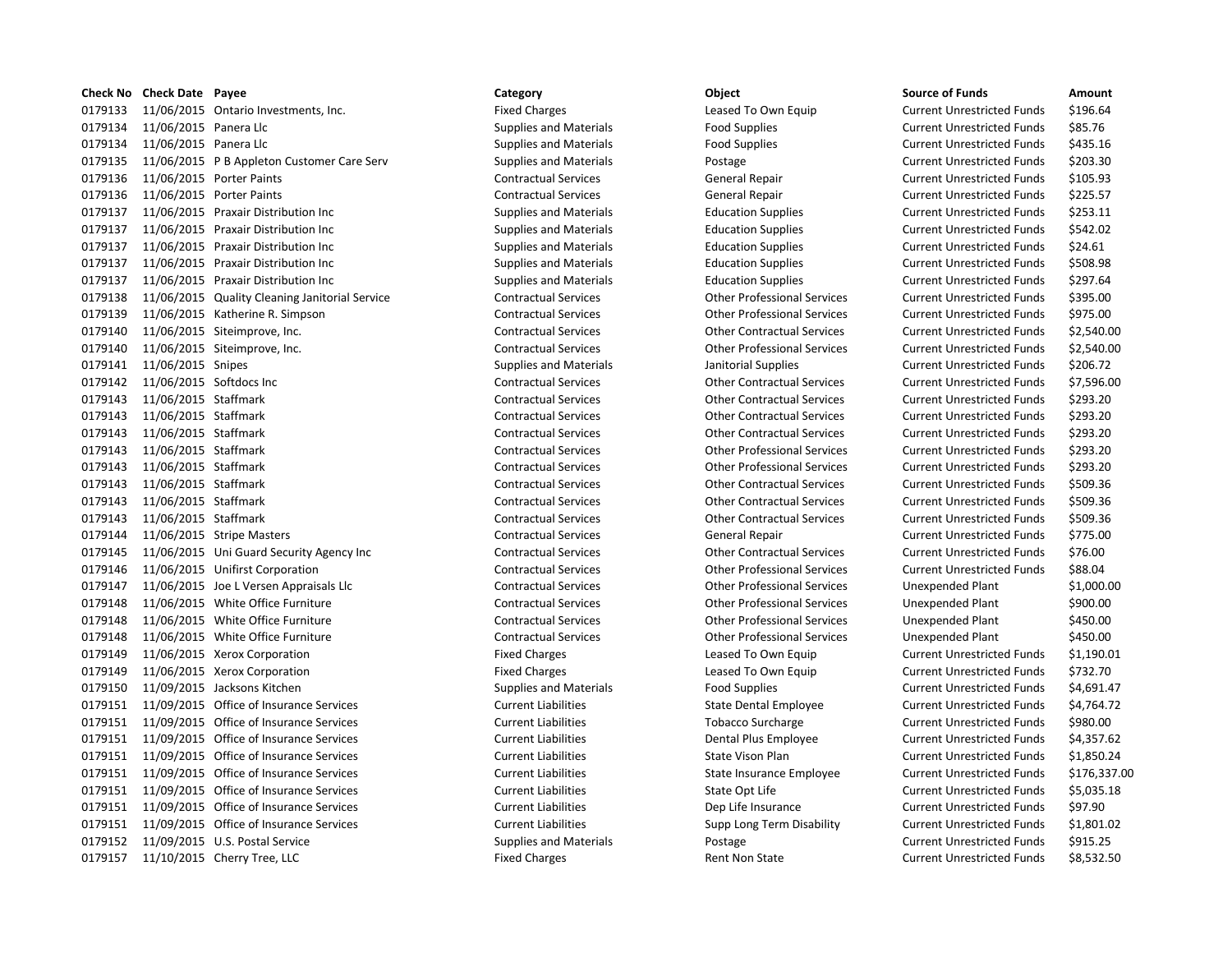|         | <b>Check No Check Date Payee</b> |                                                | Category                      | Object                             | <b>Source of Funds</b>            | Amount     |
|---------|----------------------------------|------------------------------------------------|-------------------------------|------------------------------------|-----------------------------------|------------|
| 0179133 |                                  | 11/06/2015 Ontario Investments, Inc.           | <b>Fixed Charges</b>          | Leased To Own Equip                | <b>Current Unrestricted Funds</b> | \$196.64   |
| 0179134 | 11/06/2015 Panera Llc            |                                                | <b>Supplies and Materials</b> | <b>Food Supplies</b>               | <b>Current Unrestricted Funds</b> | \$85.76    |
| 0179134 | 11/06/2015 Panera Llc            |                                                | <b>Supplies and Materials</b> | <b>Food Supplies</b>               | <b>Current Unrestricted Funds</b> | \$435.16   |
| 0179135 |                                  | 11/06/2015 P B Appleton Customer Care Serv     | <b>Supplies and Materials</b> | Postage                            | <b>Current Unrestricted Funds</b> | \$203.30   |
| 0179136 |                                  | 11/06/2015 Porter Paints                       | <b>Contractual Services</b>   | <b>General Repair</b>              | <b>Current Unrestricted Funds</b> | \$105.93   |
| 0179136 |                                  | 11/06/2015 Porter Paints                       | <b>Contractual Services</b>   | <b>General Repair</b>              | <b>Current Unrestricted Funds</b> | \$225.57   |
| 0179137 |                                  | 11/06/2015 Praxair Distribution Inc            | <b>Supplies and Materials</b> | <b>Education Supplies</b>          | <b>Current Unrestricted Funds</b> | \$253.11   |
| 0179137 |                                  | 11/06/2015 Praxair Distribution Inc            | <b>Supplies and Materials</b> | <b>Education Supplies</b>          | <b>Current Unrestricted Funds</b> | \$542.02   |
| 0179137 |                                  | 11/06/2015 Praxair Distribution Inc            | <b>Supplies and Materials</b> | <b>Education Supplies</b>          | <b>Current Unrestricted Funds</b> | \$24.61    |
| 0179137 |                                  | 11/06/2015 Praxair Distribution Inc            | <b>Supplies and Materials</b> | <b>Education Supplies</b>          | <b>Current Unrestricted Funds</b> | \$508.98   |
| 0179137 |                                  | 11/06/2015 Praxair Distribution Inc            | <b>Supplies and Materials</b> | <b>Education Supplies</b>          | <b>Current Unrestricted Funds</b> | \$297.64   |
| 0179138 |                                  | 11/06/2015 Quality Cleaning Janitorial Service | <b>Contractual Services</b>   | <b>Other Professional Services</b> | <b>Current Unrestricted Funds</b> | \$395.00   |
| 0179139 |                                  | 11/06/2015 Katherine R. Simpson                | <b>Contractual Services</b>   | <b>Other Professional Services</b> | <b>Current Unrestricted Funds</b> | \$975.00   |
| 0179140 |                                  | 11/06/2015 Siteimprove, Inc.                   | <b>Contractual Services</b>   | <b>Other Contractual Services</b>  | <b>Current Unrestricted Funds</b> | \$2,540.00 |
| 0179140 |                                  | 11/06/2015 Siteimprove, Inc.                   | <b>Contractual Services</b>   | <b>Other Professional Services</b> | <b>Current Unrestricted Funds</b> | \$2,540.00 |
| 0179141 | 11/06/2015 Snipes                |                                                | <b>Supplies and Materials</b> | Janitorial Supplies                | <b>Current Unrestricted Funds</b> | \$206.72   |
| 0179142 |                                  | 11/06/2015 Softdocs Inc                        | <b>Contractual Services</b>   | <b>Other Contractual Services</b>  | <b>Current Unrestricted Funds</b> | \$7,596.00 |
| 0179143 | 11/06/2015 Staffmark             |                                                | <b>Contractual Services</b>   | <b>Other Contractual Services</b>  | <b>Current Unrestricted Funds</b> | \$293.20   |
| 0179143 | 11/06/2015 Staffmark             |                                                | <b>Contractual Services</b>   | <b>Other Contractual Services</b>  | <b>Current Unrestricted Funds</b> | \$293.20   |
| 0179143 | 11/06/2015 Staffmark             |                                                | <b>Contractual Services</b>   | <b>Other Contractual Services</b>  | <b>Current Unrestricted Funds</b> | \$293.20   |
| 0179143 | 11/06/2015 Staffmark             |                                                | <b>Contractual Services</b>   | <b>Other Professional Services</b> | <b>Current Unrestricted Funds</b> | \$293.20   |
| 0179143 | 11/06/2015 Staffmark             |                                                | <b>Contractual Services</b>   | <b>Other Professional Services</b> | <b>Current Unrestricted Funds</b> | \$293.20   |
| 0179143 | 11/06/2015 Staffmark             |                                                | <b>Contractual Services</b>   | <b>Other Contractual Services</b>  | <b>Current Unrestricted Funds</b> | \$509.36   |
| 0179143 | 11/06/2015 Staffmark             |                                                | <b>Contractual Services</b>   | <b>Other Contractual Services</b>  | <b>Current Unrestricted Funds</b> | \$509.36   |
| 0179143 | 11/06/2015 Staffmark             |                                                | <b>Contractual Services</b>   | <b>Other Contractual Services</b>  | <b>Current Unrestricted Funds</b> | \$509.36   |
| 0179144 |                                  | 11/06/2015 Stripe Masters                      | <b>Contractual Services</b>   | <b>General Repair</b>              | <b>Current Unrestricted Funds</b> | \$775.00   |
| 0179145 |                                  | 11/06/2015 Uni Guard Security Agency Inc       | <b>Contractual Services</b>   | <b>Other Contractual Services</b>  | <b>Current Unrestricted Funds</b> | \$76.00    |
| 0179146 |                                  | 11/06/2015 Unifirst Corporation                | <b>Contractual Services</b>   | <b>Other Professional Services</b> | <b>Current Unrestricted Funds</b> | \$88.04    |
| 0179147 |                                  | 11/06/2015 Joe L Versen Appraisals Llc         | <b>Contractual Services</b>   | <b>Other Professional Services</b> | <b>Unexpended Plant</b>           | \$1,000.00 |
| 0179148 |                                  | 11/06/2015 White Office Furniture              | <b>Contractual Services</b>   | <b>Other Professional Services</b> | Unexpended Plant                  | \$900.00   |
| 0179148 |                                  | 11/06/2015 White Office Furniture              | <b>Contractual Services</b>   | <b>Other Professional Services</b> | <b>Unexpended Plant</b>           | \$450.00   |
| 0179148 |                                  | 11/06/2015 White Office Furniture              | <b>Contractual Services</b>   | <b>Other Professional Services</b> | <b>Unexpended Plant</b>           | \$450.00   |
| 0179149 |                                  | 11/06/2015 Xerox Corporation                   | <b>Fixed Charges</b>          | Leased To Own Equip                | <b>Current Unrestricted Funds</b> | \$1,190.01 |
| 0179149 |                                  | 11/06/2015 Xerox Corporation                   | <b>Fixed Charges</b>          | Leased To Own Equip                | <b>Current Unrestricted Funds</b> | \$732.70   |
| 0179150 |                                  | 11/09/2015 Jacksons Kitchen                    | <b>Supplies and Materials</b> | <b>Food Supplies</b>               | <b>Current Unrestricted Funds</b> | \$4,691.47 |
| 0179151 |                                  | 11/09/2015 Office of Insurance Services        | <b>Current Liabilities</b>    | State Dental Employee              | <b>Current Unrestricted Funds</b> | \$4,764.72 |
| 0179151 |                                  | 11/09/2015 Office of Insurance Services        | <b>Current Liabilities</b>    | <b>Tobacco Surcharge</b>           | <b>Current Unrestricted Funds</b> | \$980.00   |
| 0179151 |                                  | 11/09/2015 Office of Insurance Services        | <b>Current Liabilities</b>    | Dental Plus Employee               | <b>Current Unrestricted Funds</b> | \$4,357.62 |
| 0179151 |                                  | 11/09/2015 Office of Insurance Services        | <b>Current Liabilities</b>    | State Vison Plan                   | <b>Current Unrestricted Funds</b> | \$1,850.24 |
| 0179151 |                                  | 11/09/2015 Office of Insurance Services        | <b>Current Liabilities</b>    | State Insurance Employee           | <b>Current Unrestricted Funds</b> | \$176,337. |
| 0179151 |                                  | 11/09/2015 Office of Insurance Services        | <b>Current Liabilities</b>    | State Opt Life                     | <b>Current Unrestricted Funds</b> | \$5,035.18 |
| 0179151 |                                  | 11/09/2015 Office of Insurance Services        | <b>Current Liabilities</b>    | Dep Life Insurance                 | <b>Current Unrestricted Funds</b> | \$97.90    |
| 0179151 |                                  | 11/09/2015 Office of Insurance Services        | <b>Current Liabilities</b>    | Supp Long Term Disability          | <b>Current Unrestricted Funds</b> | \$1,801.02 |
|         |                                  | 0179152 11/09/2015 U.S. Postal Service         | <b>Supplies and Materials</b> | Postage                            | <b>Current Unrestricted Funds</b> | \$915.25   |
|         |                                  | 0179157 11/10/2015 Cherry Tree, LLC            | <b>Fixed Charges</b>          | <b>Rent Non State</b>              | <b>Current Unrestricted Funds</b> | \$8.532.50 |

# Fixed Charges **11/2015** Leased To Own Equip Current Unrestricted Funds \$196.64 0179134 11/06/2015 Panera Llc Supplies and Materials Food Supplies Current Unrestricted Funds \$85.76 Supplies and Materials **11/2015 CODE CURR CONTENT** Current Unrestricted Funds 5435.16 Supplies and Materials **Supplies and Materials** Postage Current Current Unrestricted Funds \$203.30 Contractual Services **11/06/2015 Contractual Services** General Repair Current Unrestricted Funds \$105.93 0179136 11/06/2015 Porter Paints Contractual Services General Repair Current Unrestricted Funds \$225.57 Supplies and Materials **Education Supplies Current Unrestricted Funds** \$253.11 0179137 11/06/2015 Praxair Distribution Inc Supplies and Materials Education Supplies Current Unrestricted Funds \$542.02 Supplies and Materials **Education Supplies 6 A. A. A. S. A. A. A. A. S. A. A. S. A. S. A. S. A. S. A. S. A. S. A. S. A. S. A. S. A. S. A. S. A. S. A. S. A. S. A. S. A. S. A. S. A. S. A. S. A. S. A. S. A. S. A. S. A. S. A.** 0179137 11/06/2015 Praxair Distribution Inc Supplies and Materials Education Supplies Current Unrestricted Funds \$508.98 Supplies and Materials **Education Supplies Current Unrestricted Funds** \$297.64 0179138 11/06/2015 Quality Cleaning Janitorial Service Contractual Services Other Professional Services Current Unrestricted Funds \$395.00 Contractual Services **Current Contractual Services** Current Unrestricted Funds \$975.00 0179140 11/06/2015 Siteimprove, Inc. Contractual Services Other Contractual Services Current Unrestricted Funds \$2,540.00 0179140 11/06/2015 Siteimprove, Inc. Contractual Services Other Professional Services Current Unrestricted Funds \$2,540.00 0179141 11/06/2015 Snipes Supplies and Materials Janitorial Supplies Current Unrestricted Funds \$206.72 0179142 11/06/2015 Softdocs Inc Contractual Services Other Contractual Services Current Unrestricted Funds \$7,596.00 0179143 11/06/2015 Staffmark Contractual Services Other Contractual Services Current Unrestricted Funds \$293.20 0179143 11/06/2015 Staffmark Contractual Services Other Contractual Services Current Unrestricted Funds \$293.20 0179143 11/06/2015 Staffmark Contractual Services Other Contractual Services Current Unrestricted Funds \$293.20 Contractual Services **11/06/2015** Other Professional Services Current Unrestricted Funds \$293.20 0179143 11/06/2015 Staffmark Contractual Services Other Professional Services Current Unrestricted Funds \$293.20 Contractual Services **11/06/2014** Other Contractual Services Current Unrestricted Funds \$509.36 0179143 11/06/2015 Staffmark Contractual Services Other Contractual Services Current Unrestricted Funds \$509.36 Contractual Services **11/06/2015 Contractual Services** Current Unrestricted Funds \$509.36 0179144 11/06/2015 Stripe Masters Contractual Services General Repair Current Unrestricted Funds \$775.00 Contractual Services **11/06/2015 Universe Contractual Services** Current Unrestricted Funds \$76.00 0179146 11/06/2015 Unifirst Corporation Contractual Services Other Professional Services Current Unrestricted Funds \$88.04 Contractual Services **11,000.00** Other Professional Services Unexpended Plant \$1,000.00 Contractual Services **11/06/2015** Other Professional Services Unexpended Plant \$900.00 Contractual Services **11/06/2014** Other Professional Services Unexpended Plant \$450.00 0179148 11/06/2015 White Office Furniture Contractual Services Other Professional Services Unexpended Plant \$450.00 Fixed Charges The Charges Leased To Own Equip Current Unrestricted Funds \$1,190.01 Fixed Charges The Leased To Own Equip Current Unrestricted Funds \$732.70 0179151 11/09/2015 Office of Insurance Services Current Liabilities State Dental Employee Current Unrestricted Funds \$4,764.72 0179151 11/09/2015 Office of Insurance Services Current Liabilities Tobacco Surcharge Current Unrestricted Funds \$980.00 0179151 11/09/2015 Office of Insurance Services Current Liabilities Dental Plus Employee Current Unrestricted Funds \$4,357.62 0179151 11/09/2015 Office of Insurance Services Current Liabilities State Vison Plan Current Unrestricted Funds \$1,850.24 0179151 11/09/2015 Office of Insurance Services Current Liabilities State Insurance Employee Current Unrestricted Funds \$176,337.00 Ourrent Liabilities **Current Liabilities** State Opt Life **Current Unrestricted Funds** \$5,035.18 0179151 11/09/2015 Office of Insurance Services Current Liabilities Dep Life Insurance Current Unrestricted Funds \$97.90 0179151 11/09/2015 Office of Insurance Services Current Liabilities Supp Long Term Disability Current Unrestricted Funds \$1,801.02 0179152 11/09/2015 U.S. Postal Service Supplies and Materials Postage Current Unrestricted Funds \$915.25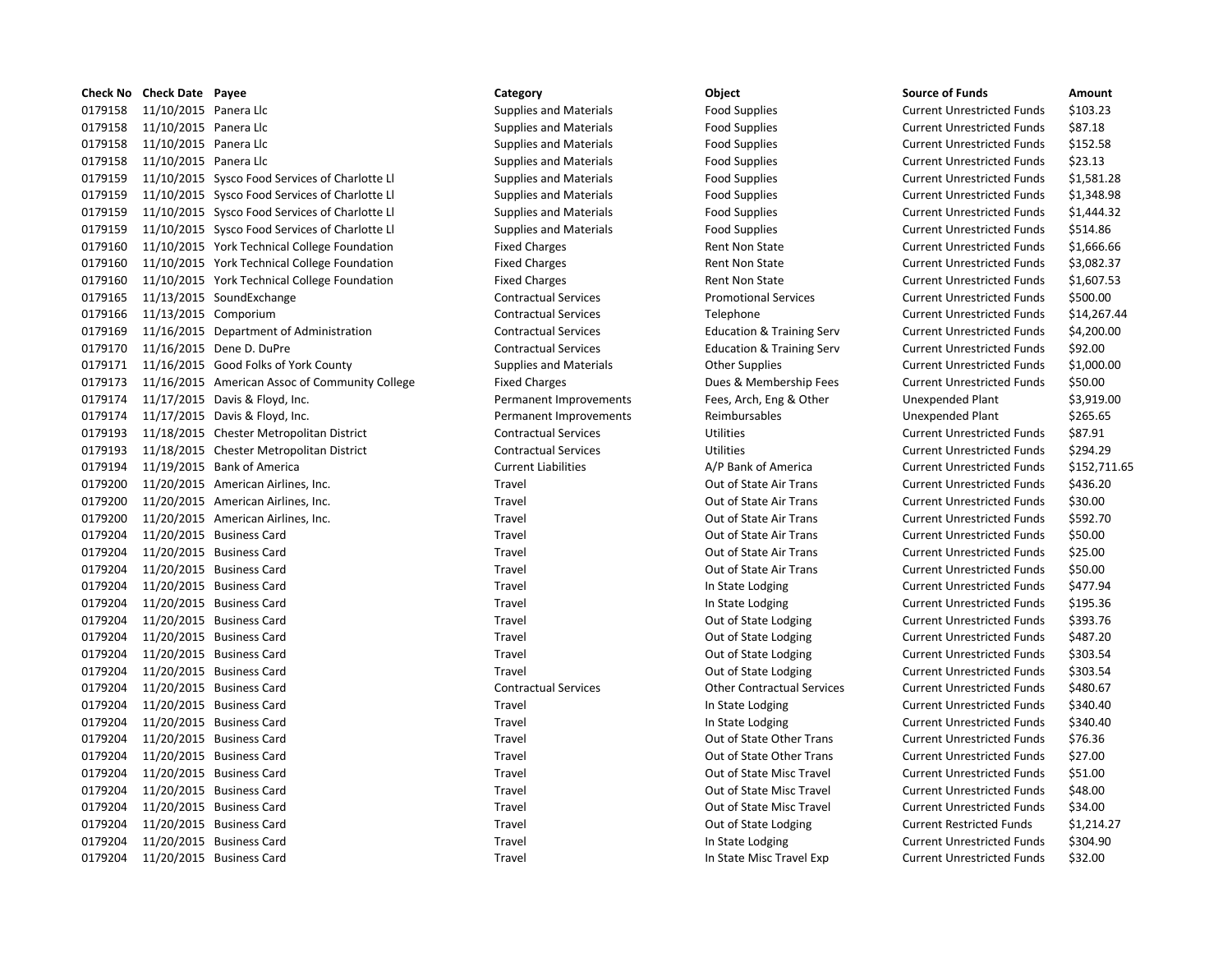| Check No | <b>Check Date Payee</b> |                                                | Category                      | Object                               | <b>Source of Funds</b>            | Amount     |
|----------|-------------------------|------------------------------------------------|-------------------------------|--------------------------------------|-----------------------------------|------------|
| 0179158  | 11/10/2015 Panera Llc   |                                                | <b>Supplies and Materials</b> | <b>Food Supplies</b>                 | <b>Current Unrestricted Funds</b> | \$103.23   |
| 0179158  | 11/10/2015 Panera Llc   |                                                | <b>Supplies and Materials</b> | <b>Food Supplies</b>                 | <b>Current Unrestricted Funds</b> | \$87.18    |
| 0179158  | 11/10/2015 Panera Llc   |                                                | <b>Supplies and Materials</b> | <b>Food Supplies</b>                 | <b>Current Unrestricted Funds</b> | \$152.58   |
| 0179158  | 11/10/2015 Panera Llc   |                                                | <b>Supplies and Materials</b> | Food Supplies                        | <b>Current Unrestricted Funds</b> | \$23.13    |
| 0179159  |                         | 11/10/2015 Sysco Food Services of Charlotte Ll | <b>Supplies and Materials</b> | <b>Food Supplies</b>                 | <b>Current Unrestricted Funds</b> | \$1,581.28 |
| 0179159  |                         | 11/10/2015 Sysco Food Services of Charlotte LI | <b>Supplies and Materials</b> | <b>Food Supplies</b>                 | <b>Current Unrestricted Funds</b> | \$1,348.98 |
| 0179159  |                         | 11/10/2015 Sysco Food Services of Charlotte Ll | <b>Supplies and Materials</b> | Food Supplies                        | <b>Current Unrestricted Funds</b> | \$1,444.32 |
| 0179159  |                         | 11/10/2015 Sysco Food Services of Charlotte Ll | <b>Supplies and Materials</b> | <b>Food Supplies</b>                 | <b>Current Unrestricted Funds</b> | \$514.86   |
| 0179160  |                         | 11/10/2015 York Technical College Foundation   | <b>Fixed Charges</b>          | <b>Rent Non State</b>                | <b>Current Unrestricted Funds</b> | \$1,666.66 |
| 0179160  |                         | 11/10/2015 York Technical College Foundation   | <b>Fixed Charges</b>          | Rent Non State                       | <b>Current Unrestricted Funds</b> | \$3,082.37 |
| 0179160  |                         | 11/10/2015 York Technical College Foundation   | <b>Fixed Charges</b>          | Rent Non State                       | <b>Current Unrestricted Funds</b> | \$1,607.53 |
| 0179165  |                         | 11/13/2015 SoundExchange                       | <b>Contractual Services</b>   | <b>Promotional Services</b>          | <b>Current Unrestricted Funds</b> | \$500.00   |
| 0179166  |                         | 11/13/2015 Comporium                           | <b>Contractual Services</b>   | Telephone                            | <b>Current Unrestricted Funds</b> | \$14,267.4 |
| 0179169  |                         | 11/16/2015 Department of Administration        | <b>Contractual Services</b>   | <b>Education &amp; Training Serv</b> | <b>Current Unrestricted Funds</b> | \$4,200.00 |
| 0179170  |                         | 11/16/2015 Dene D. DuPre                       | <b>Contractual Services</b>   | <b>Education &amp; Training Serv</b> | <b>Current Unrestricted Funds</b> | \$92.00    |
| 0179171  |                         | 11/16/2015 Good Folks of York County           | <b>Supplies and Materials</b> | <b>Other Supplies</b>                | <b>Current Unrestricted Funds</b> | \$1,000.00 |
| 0179173  |                         | 11/16/2015 American Assoc of Community College | <b>Fixed Charges</b>          | Dues & Membership Fees               | <b>Current Unrestricted Funds</b> | \$50.00    |
| 0179174  |                         | 11/17/2015 Davis & Floyd, Inc.                 | Permanent Improvements        | Fees, Arch, Eng & Other              | Unexpended Plant                  | \$3,919.00 |
| 0179174  |                         | 11/17/2015 Davis & Floyd, Inc.                 | Permanent Improvements        | Reimbursables                        | <b>Unexpended Plant</b>           | \$265.65   |
| 0179193  |                         | 11/18/2015 Chester Metropolitan District       | <b>Contractual Services</b>   | <b>Utilities</b>                     | <b>Current Unrestricted Funds</b> | \$87.91    |
| 0179193  |                         | 11/18/2015 Chester Metropolitan District       | <b>Contractual Services</b>   | <b>Utilities</b>                     | <b>Current Unrestricted Funds</b> | \$294.29   |
| 0179194  |                         | 11/19/2015 Bank of America                     | <b>Current Liabilities</b>    | A/P Bank of America                  | <b>Current Unrestricted Funds</b> | \$152,711. |
| 0179200  |                         | 11/20/2015 American Airlines, Inc.             | Travel                        | Out of State Air Trans               | <b>Current Unrestricted Funds</b> | \$436.20   |
| 0179200  |                         | 11/20/2015 American Airlines, Inc.             | Travel                        | Out of State Air Trans               | <b>Current Unrestricted Funds</b> | \$30.00    |
| 0179200  |                         | 11/20/2015 American Airlines, Inc.             | Travel                        | Out of State Air Trans               | <b>Current Unrestricted Funds</b> | \$592.70   |
| 0179204  |                         | 11/20/2015 Business Card                       | Travel                        | Out of State Air Trans               | <b>Current Unrestricted Funds</b> | \$50.00    |
| 0179204  |                         | 11/20/2015 Business Card                       | Travel                        | Out of State Air Trans               | <b>Current Unrestricted Funds</b> | \$25.00    |
| 0179204  |                         | 11/20/2015 Business Card                       | Travel                        | Out of State Air Trans               | <b>Current Unrestricted Funds</b> | \$50.00    |
| 0179204  |                         | 11/20/2015 Business Card                       | Travel                        | In State Lodging                     | <b>Current Unrestricted Funds</b> | \$477.94   |
| 0179204  |                         | 11/20/2015 Business Card                       | Travel                        | In State Lodging                     | <b>Current Unrestricted Funds</b> | \$195.36   |
| 0179204  |                         | 11/20/2015 Business Card                       | Travel                        | Out of State Lodging                 | <b>Current Unrestricted Funds</b> | \$393.76   |
| 0179204  |                         | 11/20/2015 Business Card                       | Travel                        | Out of State Lodging                 | <b>Current Unrestricted Funds</b> | \$487.20   |
| 0179204  |                         | 11/20/2015 Business Card                       | Travel                        | Out of State Lodging                 | <b>Current Unrestricted Funds</b> | \$303.54   |
| 0179204  |                         | 11/20/2015 Business Card                       | Travel                        | Out of State Lodging                 | <b>Current Unrestricted Funds</b> | \$303.54   |
| 0179204  |                         | 11/20/2015 Business Card                       | <b>Contractual Services</b>   | <b>Other Contractual Services</b>    | <b>Current Unrestricted Funds</b> | \$480.67   |
| 0179204  |                         | 11/20/2015 Business Card                       | Travel                        | In State Lodging                     | <b>Current Unrestricted Funds</b> | \$340.40   |
| 0179204  |                         | 11/20/2015 Business Card                       | Travel                        | In State Lodging                     | <b>Current Unrestricted Funds</b> | \$340.40   |
| 0179204  |                         | 11/20/2015 Business Card                       | Travel                        | Out of State Other Trans             | <b>Current Unrestricted Funds</b> | \$76.36    |
| 0179204  |                         | 11/20/2015 Business Card                       | Travel                        | Out of State Other Trans             | <b>Current Unrestricted Funds</b> | \$27.00    |
| 0179204  |                         | 11/20/2015 Business Card                       | Travel                        | Out of State Misc Travel             | <b>Current Unrestricted Funds</b> | \$51.00    |
| 0179204  |                         | 11/20/2015 Business Card                       | Travel                        | Out of State Misc Travel             | <b>Current Unrestricted Funds</b> | \$48.00    |
| 0179204  |                         | 11/20/2015 Business Card                       | Travel                        | Out of State Misc Travel             | <b>Current Unrestricted Funds</b> | \$34.00    |
| 0179204  |                         | 11/20/2015 Business Card                       | Travel                        | Out of State Lodging                 | <b>Current Restricted Funds</b>   | \$1,214.27 |
| 0179204  |                         | 11/20/2015 Business Card                       | Travel                        | In State Lodging                     | <b>Current Unrestricted Funds</b> | \$304.90   |
| 0179204  |                         | 11/20/2015 Business Card                       | Travel                        | In State Misc Travel Exp             | <b>Current Unrestricted Funds</b> | \$32.00    |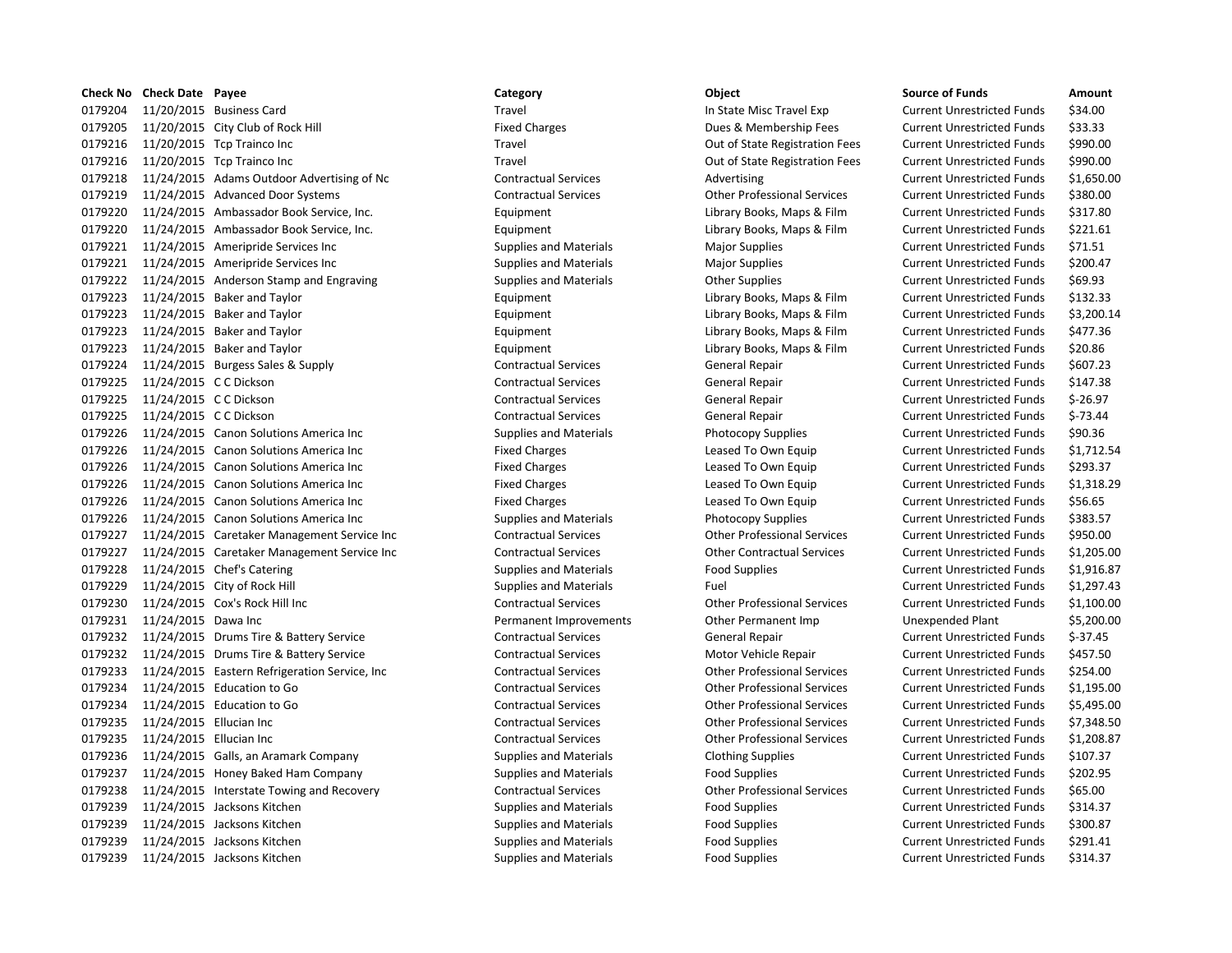|         | <b>Check No Check Date Payee</b> |                                                | Category                      | Object                             | <b>Source of Funds</b>            | Amount    |
|---------|----------------------------------|------------------------------------------------|-------------------------------|------------------------------------|-----------------------------------|-----------|
| 0179204 |                                  | 11/20/2015 Business Card                       | Travel                        | In State Misc Travel Exp           | <b>Current Unrestricted Funds</b> | \$34.00   |
| 0179205 |                                  | 11/20/2015 City Club of Rock Hill              | <b>Fixed Charges</b>          | Dues & Membership Fees             | <b>Current Unrestricted Funds</b> | \$33.33   |
| 0179216 |                                  | 11/20/2015 Tcp Trainco Inc                     | Travel                        | Out of State Registration Fees     | <b>Current Unrestricted Funds</b> | \$990.00  |
| 0179216 |                                  | 11/20/2015 Tcp Trainco Inc                     | Travel                        | Out of State Registration Fees     | <b>Current Unrestricted Funds</b> | \$990.00  |
| 0179218 |                                  | 11/24/2015 Adams Outdoor Advertising of Nc     | <b>Contractual Services</b>   | Advertising                        | <b>Current Unrestricted Funds</b> | \$1,650.0 |
| 0179219 |                                  | 11/24/2015 Advanced Door Systems               | <b>Contractual Services</b>   | <b>Other Professional Services</b> | <b>Current Unrestricted Funds</b> | \$380.00  |
| 0179220 |                                  | 11/24/2015 Ambassador Book Service, Inc.       | Equipment                     | Library Books, Maps & Film         | <b>Current Unrestricted Funds</b> | \$317.80  |
| 0179220 |                                  | 11/24/2015 Ambassador Book Service, Inc.       | Equipment                     | Library Books, Maps & Film         | <b>Current Unrestricted Funds</b> | \$221.61  |
| 0179221 |                                  | 11/24/2015 Ameripride Services Inc             | <b>Supplies and Materials</b> | <b>Major Supplies</b>              | <b>Current Unrestricted Funds</b> | \$71.51   |
| 0179221 |                                  | 11/24/2015 Ameripride Services Inc             | <b>Supplies and Materials</b> | <b>Major Supplies</b>              | <b>Current Unrestricted Funds</b> | \$200.47  |
| 0179222 |                                  | 11/24/2015 Anderson Stamp and Engraving        | <b>Supplies and Materials</b> | <b>Other Supplies</b>              | <b>Current Unrestricted Funds</b> | \$69.93   |
| 0179223 |                                  | 11/24/2015 Baker and Taylor                    | Equipment                     | Library Books, Maps & Film         | <b>Current Unrestricted Funds</b> | \$132.33  |
| 0179223 |                                  | 11/24/2015 Baker and Taylor                    | Equipment                     | Library Books, Maps & Film         | <b>Current Unrestricted Funds</b> | \$3,200.1 |
| 0179223 |                                  | 11/24/2015 Baker and Taylor                    | Equipment                     | Library Books, Maps & Film         | <b>Current Unrestricted Funds</b> | \$477.36  |
| 0179223 |                                  | 11/24/2015 Baker and Taylor                    | Equipment                     | Library Books, Maps & Film         | <b>Current Unrestricted Funds</b> | \$20.86   |
| 0179224 |                                  | 11/24/2015 Burgess Sales & Supply              | <b>Contractual Services</b>   | <b>General Repair</b>              | <b>Current Unrestricted Funds</b> | \$607.23  |
| 0179225 | 11/24/2015 C C Dickson           |                                                | <b>Contractual Services</b>   | General Repair                     | <b>Current Unrestricted Funds</b> | \$147.38  |
| 0179225 | 11/24/2015 C C Dickson           |                                                | <b>Contractual Services</b>   | <b>General Repair</b>              | <b>Current Unrestricted Funds</b> | $$-26.97$ |
| 0179225 | 11/24/2015 C C Dickson           |                                                | <b>Contractual Services</b>   | <b>General Repair</b>              | <b>Current Unrestricted Funds</b> | $S-73.44$ |
| 0179226 |                                  | 11/24/2015 Canon Solutions America Inc         | <b>Supplies and Materials</b> | Photocopy Supplies                 | <b>Current Unrestricted Funds</b> | \$90.36   |
| 0179226 |                                  | 11/24/2015 Canon Solutions America Inc         | <b>Fixed Charges</b>          | Leased To Own Equip                | <b>Current Unrestricted Funds</b> | \$1,712.5 |
| 0179226 |                                  | 11/24/2015 Canon Solutions America Inc         | <b>Fixed Charges</b>          | Leased To Own Equip                | <b>Current Unrestricted Funds</b> | \$293.37  |
| 0179226 |                                  | 11/24/2015 Canon Solutions America Inc         | <b>Fixed Charges</b>          | Leased To Own Equip                | <b>Current Unrestricted Funds</b> | \$1,318.2 |
| 0179226 |                                  | 11/24/2015 Canon Solutions America Inc         | <b>Fixed Charges</b>          | Leased To Own Equip                | <b>Current Unrestricted Funds</b> | \$56.65   |
| 0179226 |                                  | 11/24/2015 Canon Solutions America Inc         | <b>Supplies and Materials</b> | <b>Photocopy Supplies</b>          | <b>Current Unrestricted Funds</b> | \$383.57  |
| 0179227 |                                  | 11/24/2015 Caretaker Management Service Inc    | <b>Contractual Services</b>   | <b>Other Professional Services</b> | <b>Current Unrestricted Funds</b> | \$950.00  |
| 0179227 |                                  | 11/24/2015 Caretaker Management Service Inc    | <b>Contractual Services</b>   | <b>Other Contractual Services</b>  | <b>Current Unrestricted Funds</b> | \$1,205.0 |
| 0179228 |                                  | 11/24/2015 Chef's Catering                     | <b>Supplies and Materials</b> | <b>Food Supplies</b>               | <b>Current Unrestricted Funds</b> | \$1,916.8 |
| 0179229 |                                  | 11/24/2015 City of Rock Hill                   | <b>Supplies and Materials</b> | Fuel                               | <b>Current Unrestricted Funds</b> | \$1,297.4 |
| 0179230 |                                  | 11/24/2015 Cox's Rock Hill Inc                 | <b>Contractual Services</b>   | <b>Other Professional Services</b> | <b>Current Unrestricted Funds</b> | \$1,100.0 |
| 0179231 | 11/24/2015 Dawa Inc              |                                                | Permanent Improvements        | Other Permanent Imp                | <b>Unexpended Plant</b>           | \$5,200.0 |
| 0179232 |                                  | 11/24/2015 Drums Tire & Battery Service        | <b>Contractual Services</b>   | <b>General Repair</b>              | <b>Current Unrestricted Funds</b> | $$-37.45$ |
| 0179232 |                                  | 11/24/2015 Drums Tire & Battery Service        | <b>Contractual Services</b>   | Motor Vehicle Repair               | <b>Current Unrestricted Funds</b> | \$457.50  |
| 0179233 |                                  | 11/24/2015 Eastern Refrigeration Service, Inc. | <b>Contractual Services</b>   | <b>Other Professional Services</b> | <b>Current Unrestricted Funds</b> | \$254.00  |
| 0179234 |                                  | 11/24/2015 Education to Go                     | <b>Contractual Services</b>   | <b>Other Professional Services</b> | <b>Current Unrestricted Funds</b> | \$1,195.0 |
| 0179234 |                                  | 11/24/2015 Education to Go                     | <b>Contractual Services</b>   | <b>Other Professional Services</b> | <b>Current Unrestricted Funds</b> | \$5,495.0 |
| 0179235 | 11/24/2015 Ellucian Inc          |                                                | <b>Contractual Services</b>   | <b>Other Professional Services</b> | <b>Current Unrestricted Funds</b> | \$7,348.5 |
| 0179235 | 11/24/2015 Ellucian Inc          |                                                | <b>Contractual Services</b>   | <b>Other Professional Services</b> | <b>Current Unrestricted Funds</b> | \$1,208.8 |
| 0179236 |                                  | 11/24/2015 Galls, an Aramark Company           | <b>Supplies and Materials</b> | <b>Clothing Supplies</b>           | <b>Current Unrestricted Funds</b> | \$107.37  |
| 0179237 |                                  | 11/24/2015 Honey Baked Ham Company             | <b>Supplies and Materials</b> | <b>Food Supplies</b>               | <b>Current Unrestricted Funds</b> | \$202.95  |
| 0179238 |                                  | 11/24/2015 Interstate Towing and Recovery      | <b>Contractual Services</b>   | <b>Other Professional Services</b> | <b>Current Unrestricted Funds</b> | \$65.00   |
| 0179239 |                                  | 11/24/2015 Jacksons Kitchen                    | <b>Supplies and Materials</b> | <b>Food Supplies</b>               | <b>Current Unrestricted Funds</b> | \$314.37  |
| 0179239 |                                  | 11/24/2015 Jacksons Kitchen                    | <b>Supplies and Materials</b> | <b>Food Supplies</b>               | <b>Current Unrestricted Funds</b> | \$300.87  |
| 0179239 |                                  | 11/24/2015 Jacksons Kitchen                    | <b>Supplies and Materials</b> | <b>Food Supplies</b>               | <b>Current Unrestricted Funds</b> | \$291.41  |
| 0179239 |                                  | 11/24/2015 Jacksons Kitchen                    | <b>Supplies and Materials</b> | <b>Food Supplies</b>               | <b>Current Unrestricted Funds</b> | \$314.37  |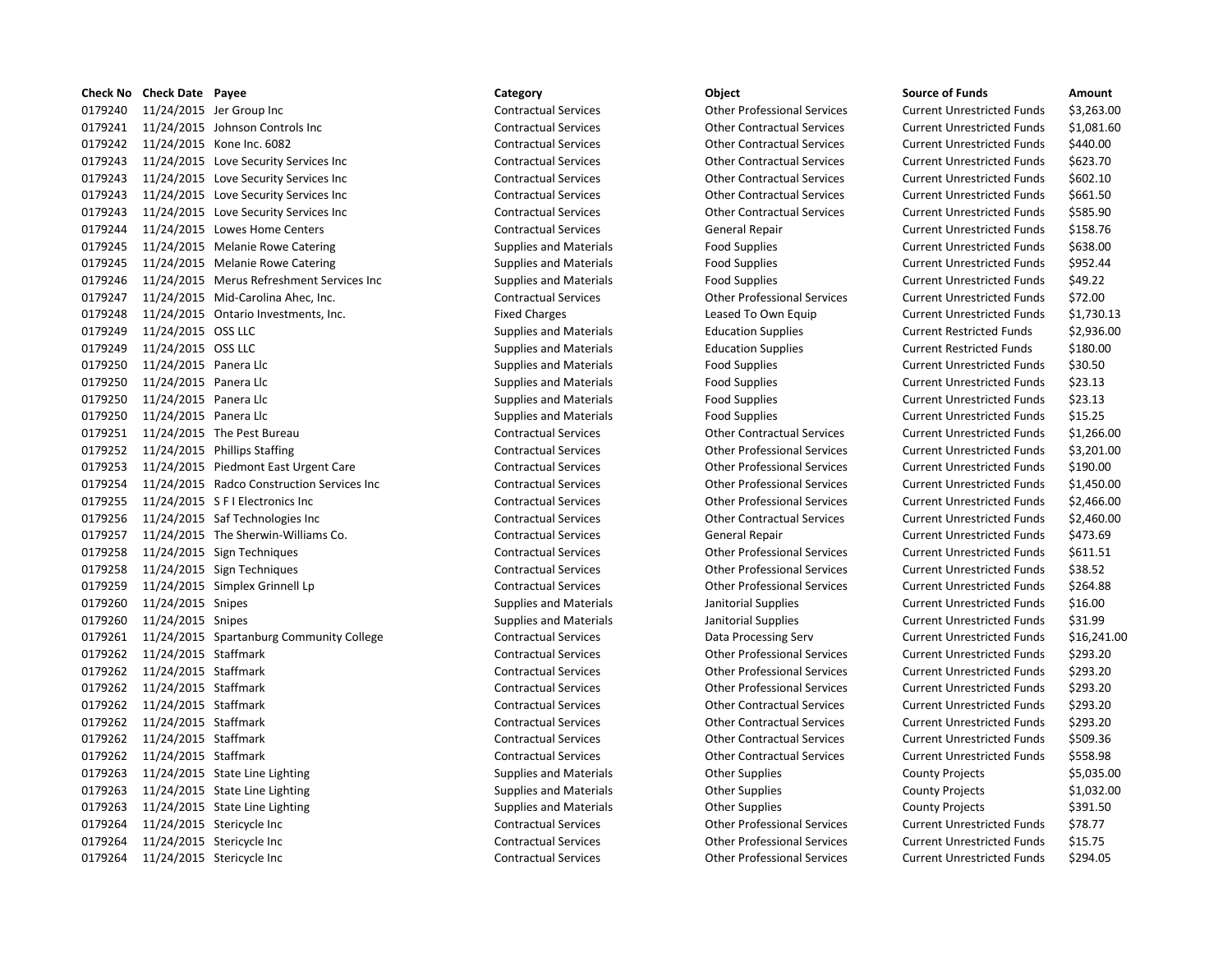|         | Check No Check Date Payee |                                            | Category                      | Object                             | <b>Source of Funds</b>            | Amount     |
|---------|---------------------------|--------------------------------------------|-------------------------------|------------------------------------|-----------------------------------|------------|
| 0179240 |                           | 11/24/2015 Jer Group Inc                   | <b>Contractual Services</b>   | <b>Other Professional Services</b> | <b>Current Unrestricted Funds</b> | \$3,263.00 |
| 0179241 |                           | 11/24/2015 Johnson Controls Inc            | <b>Contractual Services</b>   | <b>Other Contractual Services</b>  | <b>Current Unrestricted Funds</b> | \$1,081.60 |
| 0179242 |                           | 11/24/2015 Kone Inc. 6082                  | <b>Contractual Services</b>   | <b>Other Contractual Services</b>  | <b>Current Unrestricted Funds</b> | \$440.00   |
| 0179243 |                           | 11/24/2015 Love Security Services Inc      | <b>Contractual Services</b>   | <b>Other Contractual Services</b>  | <b>Current Unrestricted Funds</b> | \$623.70   |
| 0179243 |                           | 11/24/2015 Love Security Services Inc      | <b>Contractual Services</b>   | <b>Other Contractual Services</b>  | <b>Current Unrestricted Funds</b> | \$602.10   |
| 0179243 |                           | 11/24/2015 Love Security Services Inc      | <b>Contractual Services</b>   | <b>Other Contractual Services</b>  | <b>Current Unrestricted Funds</b> | \$661.50   |
| 0179243 |                           | 11/24/2015 Love Security Services Inc      | <b>Contractual Services</b>   | <b>Other Contractual Services</b>  | <b>Current Unrestricted Funds</b> | \$585.90   |
| 0179244 |                           | 11/24/2015 Lowes Home Centers              | <b>Contractual Services</b>   | <b>General Repair</b>              | <b>Current Unrestricted Funds</b> | \$158.76   |
| 0179245 |                           | 11/24/2015 Melanie Rowe Catering           | <b>Supplies and Materials</b> | <b>Food Supplies</b>               | <b>Current Unrestricted Funds</b> | \$638.00   |
| 0179245 |                           | 11/24/2015 Melanie Rowe Catering           | <b>Supplies and Materials</b> | <b>Food Supplies</b>               | <b>Current Unrestricted Funds</b> | \$952.44   |
| 0179246 |                           | 11/24/2015 Merus Refreshment Services Inc  | <b>Supplies and Materials</b> | <b>Food Supplies</b>               | <b>Current Unrestricted Funds</b> | \$49.22    |
| 0179247 |                           | 11/24/2015 Mid-Carolina Ahec, Inc.         | <b>Contractual Services</b>   | <b>Other Professional Services</b> | <b>Current Unrestricted Funds</b> | \$72.00    |
| 0179248 |                           | 11/24/2015 Ontario Investments, Inc.       | <b>Fixed Charges</b>          | Leased To Own Equip                | <b>Current Unrestricted Funds</b> | \$1,730.13 |
| 0179249 | 11/24/2015 OSS LLC        |                                            | <b>Supplies and Materials</b> | <b>Education Supplies</b>          | <b>Current Restricted Funds</b>   | \$2,936.00 |
| 0179249 | 11/24/2015 OSS LLC        |                                            | <b>Supplies and Materials</b> | <b>Education Supplies</b>          | <b>Current Restricted Funds</b>   | \$180.00   |
| 0179250 | 11/24/2015 Panera Llc     |                                            | <b>Supplies and Materials</b> | <b>Food Supplies</b>               | <b>Current Unrestricted Funds</b> | \$30.50    |
| 0179250 | 11/24/2015 Panera Llc     |                                            | <b>Supplies and Materials</b> | <b>Food Supplies</b>               | <b>Current Unrestricted Funds</b> | \$23.13    |
| 0179250 | 11/24/2015 Panera Llc     |                                            | <b>Supplies and Materials</b> | <b>Food Supplies</b>               | <b>Current Unrestricted Funds</b> | \$23.13    |
| 0179250 | 11/24/2015 Panera Llc     |                                            | <b>Supplies and Materials</b> | <b>Food Supplies</b>               | <b>Current Unrestricted Funds</b> | \$15.25    |
| 0179251 |                           | 11/24/2015 The Pest Bureau                 | <b>Contractual Services</b>   | <b>Other Contractual Services</b>  | <b>Current Unrestricted Funds</b> | \$1,266.00 |
| 0179252 |                           | 11/24/2015 Phillips Staffing               | <b>Contractual Services</b>   | <b>Other Professional Services</b> | <b>Current Unrestricted Funds</b> | \$3,201.00 |
| 0179253 |                           | 11/24/2015 Piedmont East Urgent Care       | <b>Contractual Services</b>   | <b>Other Professional Services</b> | <b>Current Unrestricted Funds</b> | \$190.00   |
| 0179254 |                           | 11/24/2015 Radco Construction Services Inc | <b>Contractual Services</b>   | <b>Other Professional Services</b> | <b>Current Unrestricted Funds</b> | \$1,450.00 |
| 0179255 |                           | 11/24/2015 S F I Electronics Inc           | <b>Contractual Services</b>   | <b>Other Professional Services</b> | <b>Current Unrestricted Funds</b> | \$2,466.00 |
| 0179256 |                           | 11/24/2015 Saf Technologies Inc            | <b>Contractual Services</b>   | <b>Other Contractual Services</b>  | <b>Current Unrestricted Funds</b> | \$2,460.00 |
| 0179257 |                           | 11/24/2015 The Sherwin-Williams Co.        | <b>Contractual Services</b>   | General Repair                     | <b>Current Unrestricted Funds</b> | \$473.69   |
| 0179258 |                           | 11/24/2015 Sign Techniques                 | <b>Contractual Services</b>   | <b>Other Professional Services</b> | <b>Current Unrestricted Funds</b> | \$611.51   |
| 0179258 |                           | 11/24/2015 Sign Techniques                 | <b>Contractual Services</b>   | <b>Other Professional Services</b> | <b>Current Unrestricted Funds</b> | \$38.52    |
| 0179259 |                           | 11/24/2015 Simplex Grinnell Lp             | <b>Contractual Services</b>   | <b>Other Professional Services</b> | <b>Current Unrestricted Funds</b> | \$264.88   |
| 0179260 | 11/24/2015 Snipes         |                                            | <b>Supplies and Materials</b> | Janitorial Supplies                | <b>Current Unrestricted Funds</b> | \$16.00    |
| 0179260 | 11/24/2015 Snipes         |                                            | <b>Supplies and Materials</b> | Janitorial Supplies                | <b>Current Unrestricted Funds</b> | \$31.99    |
| 0179261 |                           | 11/24/2015 Spartanburg Community College   | <b>Contractual Services</b>   | Data Processing Serv               | <b>Current Unrestricted Funds</b> | \$16,241.0 |
| 0179262 | 11/24/2015 Staffmark      |                                            | <b>Contractual Services</b>   | <b>Other Professional Services</b> | <b>Current Unrestricted Funds</b> | \$293.20   |
| 0179262 | 11/24/2015 Staffmark      |                                            | <b>Contractual Services</b>   | <b>Other Professional Services</b> | <b>Current Unrestricted Funds</b> | \$293.20   |
| 0179262 | 11/24/2015 Staffmark      |                                            | <b>Contractual Services</b>   | <b>Other Professional Services</b> | <b>Current Unrestricted Funds</b> | \$293.20   |
| 0179262 | 11/24/2015 Staffmark      |                                            | <b>Contractual Services</b>   | <b>Other Contractual Services</b>  | <b>Current Unrestricted Funds</b> | \$293.20   |
| 0179262 | 11/24/2015 Staffmark      |                                            | <b>Contractual Services</b>   | <b>Other Contractual Services</b>  | <b>Current Unrestricted Funds</b> | \$293.20   |
| 0179262 | 11/24/2015 Staffmark      |                                            | <b>Contractual Services</b>   | <b>Other Contractual Services</b>  | <b>Current Unrestricted Funds</b> | \$509.36   |
| 0179262 | 11/24/2015 Staffmark      |                                            | <b>Contractual Services</b>   | <b>Other Contractual Services</b>  | <b>Current Unrestricted Funds</b> | \$558.98   |
| 0179263 |                           | 11/24/2015 State Line Lighting             | Supplies and Materials        | <b>Other Supplies</b>              | <b>County Projects</b>            | \$5,035.00 |
| 0179263 |                           | 11/24/2015 State Line Lighting             | <b>Supplies and Materials</b> | <b>Other Supplies</b>              | <b>County Projects</b>            | \$1,032.00 |
| 0179263 |                           | 11/24/2015 State Line Lighting             | <b>Supplies and Materials</b> | <b>Other Supplies</b>              | <b>County Projects</b>            | \$391.50   |
| 0179264 |                           | 11/24/2015 Stericycle Inc                  | <b>Contractual Services</b>   | <b>Other Professional Services</b> | <b>Current Unrestricted Funds</b> | \$78.77    |
| 0179264 |                           | 11/24/2015 Stericycle Inc                  | <b>Contractual Services</b>   | <b>Other Professional Services</b> | <b>Current Unrestricted Funds</b> | \$15.75    |
| 0179264 |                           | 11/24/2015 Stericycle Inc                  | <b>Contractual Services</b>   | <b>Other Professional Services</b> | <b>Current Unrestricted Funds</b> | \$294.05   |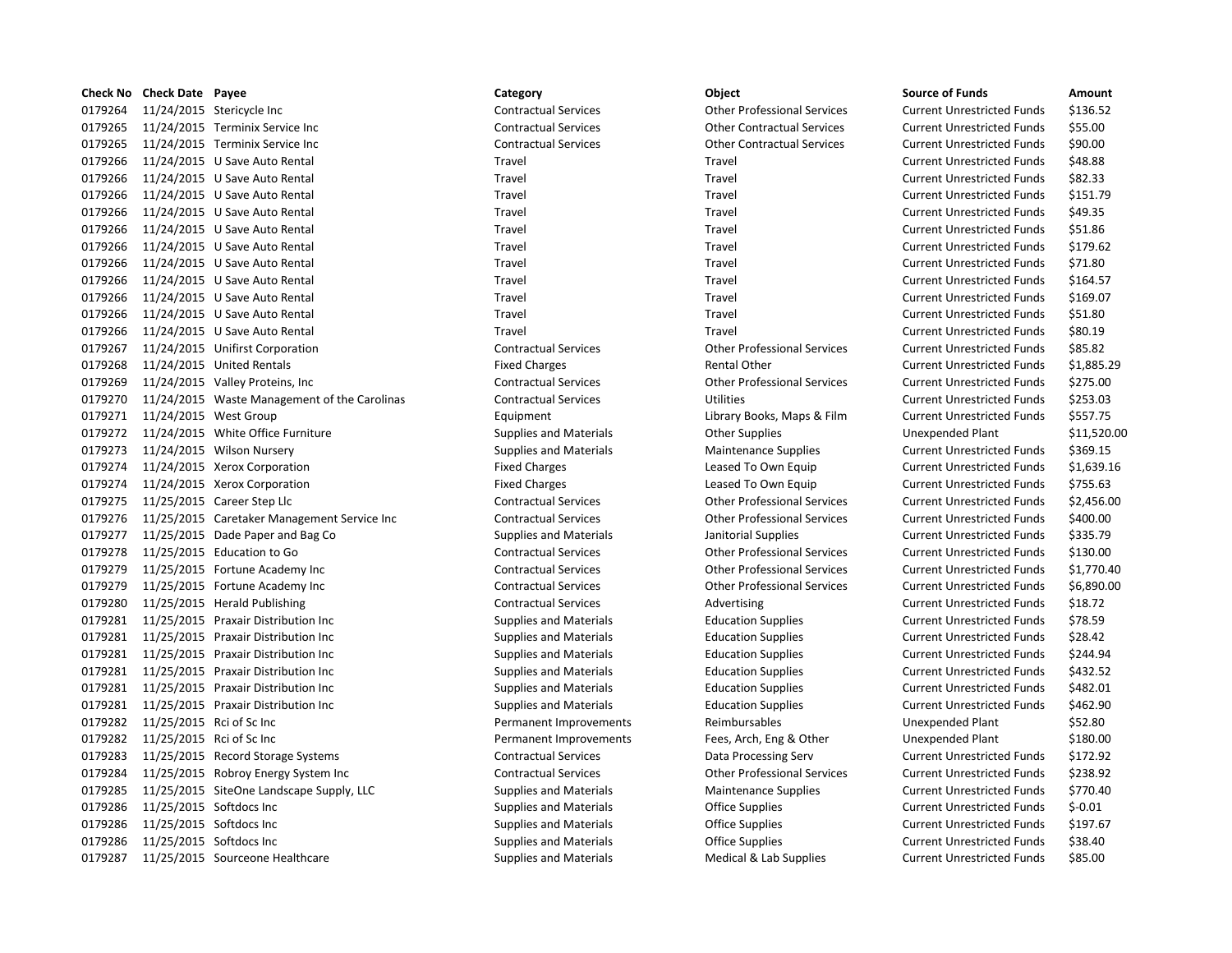|         | Check No Check Date Payee |                                              | Category                      | Object                             | <b>Source of Funds</b>            | Amount     |
|---------|---------------------------|----------------------------------------------|-------------------------------|------------------------------------|-----------------------------------|------------|
| 0179264 |                           | 11/24/2015 Stericycle Inc                    | <b>Contractual Services</b>   | <b>Other Professional Services</b> | <b>Current Unrestricted Funds</b> | \$136.52   |
| 0179265 |                           | 11/24/2015 Terminix Service Inc              | <b>Contractual Services</b>   | <b>Other Contractual Services</b>  | <b>Current Unrestricted Funds</b> | \$55.00    |
| 0179265 |                           | 11/24/2015 Terminix Service Inc              | <b>Contractual Services</b>   | <b>Other Contractual Services</b>  | <b>Current Unrestricted Funds</b> | \$90.00    |
| 0179266 |                           | 11/24/2015 U Save Auto Rental                | Travel                        | Travel                             | <b>Current Unrestricted Funds</b> | \$48.88    |
| 0179266 |                           | 11/24/2015 U Save Auto Rental                | Travel                        | Travel                             | <b>Current Unrestricted Funds</b> | \$82.33    |
| 0179266 |                           | 11/24/2015 U Save Auto Rental                | Travel                        | Travel                             | <b>Current Unrestricted Funds</b> | \$151.79   |
| 0179266 |                           | 11/24/2015 U Save Auto Rental                | Travel                        | Travel                             | <b>Current Unrestricted Funds</b> | \$49.35    |
| 0179266 |                           | 11/24/2015 U Save Auto Rental                | Travel                        | Travel                             | <b>Current Unrestricted Funds</b> | \$51.86    |
| 0179266 |                           | 11/24/2015 U Save Auto Rental                | Travel                        | Travel                             | <b>Current Unrestricted Funds</b> | \$179.62   |
| 0179266 |                           | 11/24/2015 U Save Auto Rental                | Travel                        | Travel                             | <b>Current Unrestricted Funds</b> | \$71.80    |
| 0179266 |                           | 11/24/2015 U Save Auto Rental                | Travel                        | Travel                             | <b>Current Unrestricted Funds</b> | \$164.57   |
| 0179266 |                           | 11/24/2015 U Save Auto Rental                | Travel                        | Travel                             | <b>Current Unrestricted Funds</b> | \$169.07   |
| 0179266 |                           | 11/24/2015 U Save Auto Rental                | Travel                        | Travel                             | <b>Current Unrestricted Funds</b> | \$51.80    |
| 0179266 |                           | 11/24/2015 U Save Auto Rental                | Travel                        | Travel                             | <b>Current Unrestricted Funds</b> | \$80.19    |
| 0179267 |                           | 11/24/2015 Unifirst Corporation              | <b>Contractual Services</b>   | <b>Other Professional Services</b> | <b>Current Unrestricted Funds</b> | \$85.82    |
| 0179268 |                           | 11/24/2015 United Rentals                    | <b>Fixed Charges</b>          | <b>Rental Other</b>                | <b>Current Unrestricted Funds</b> | \$1,885.29 |
| 0179269 |                           | 11/24/2015 Valley Proteins, Inc              | <b>Contractual Services</b>   | <b>Other Professional Services</b> | <b>Current Unrestricted Funds</b> | \$275.00   |
| 0179270 |                           | 11/24/2015 Waste Management of the Carolinas | <b>Contractual Services</b>   | <b>Utilities</b>                   | <b>Current Unrestricted Funds</b> | \$253.03   |
| 0179271 | 11/24/2015 West Group     |                                              | Equipment                     | Library Books, Maps & Film         | <b>Current Unrestricted Funds</b> | \$557.75   |
| 0179272 |                           | 11/24/2015 White Office Furniture            | <b>Supplies and Materials</b> | <b>Other Supplies</b>              | <b>Unexpended Plant</b>           | \$11,520.0 |
| 0179273 |                           | 11/24/2015 Wilson Nursery                    | <b>Supplies and Materials</b> | <b>Maintenance Supplies</b>        | <b>Current Unrestricted Funds</b> | \$369.15   |
| 0179274 |                           | 11/24/2015 Xerox Corporation                 | <b>Fixed Charges</b>          | Leased To Own Equip                | <b>Current Unrestricted Funds</b> | \$1,639.16 |
| 0179274 |                           | 11/24/2015 Xerox Corporation                 | <b>Fixed Charges</b>          | Leased To Own Equip                | <b>Current Unrestricted Funds</b> | \$755.63   |
| 0179275 |                           | 11/25/2015 Career Step Llc                   | <b>Contractual Services</b>   | <b>Other Professional Services</b> | <b>Current Unrestricted Funds</b> | \$2,456.00 |
| 0179276 |                           | 11/25/2015 Caretaker Management Service Inc  | <b>Contractual Services</b>   | <b>Other Professional Services</b> | <b>Current Unrestricted Funds</b> | \$400.00   |
| 0179277 |                           | 11/25/2015 Dade Paper and Bag Co             | <b>Supplies and Materials</b> | Janitorial Supplies                | <b>Current Unrestricted Funds</b> | \$335.79   |
| 0179278 |                           | 11/25/2015 Education to Go                   | <b>Contractual Services</b>   | <b>Other Professional Services</b> | <b>Current Unrestricted Funds</b> | \$130.00   |
| 0179279 |                           | 11/25/2015 Fortune Academy Inc               | <b>Contractual Services</b>   | <b>Other Professional Services</b> | <b>Current Unrestricted Funds</b> | \$1,770.40 |
| 0179279 |                           | 11/25/2015 Fortune Academy Inc               | <b>Contractual Services</b>   | <b>Other Professional Services</b> | <b>Current Unrestricted Funds</b> | \$6,890.00 |
| 0179280 |                           | 11/25/2015 Herald Publishing                 | <b>Contractual Services</b>   | Advertising                        | <b>Current Unrestricted Funds</b> | \$18.72    |
| 0179281 |                           | 11/25/2015 Praxair Distribution Inc          | <b>Supplies and Materials</b> | <b>Education Supplies</b>          | <b>Current Unrestricted Funds</b> | \$78.59    |
| 0179281 |                           | 11/25/2015 Praxair Distribution Inc          | <b>Supplies and Materials</b> | <b>Education Supplies</b>          | <b>Current Unrestricted Funds</b> | \$28.42    |
| 0179281 |                           | 11/25/2015 Praxair Distribution Inc          | <b>Supplies and Materials</b> | <b>Education Supplies</b>          | <b>Current Unrestricted Funds</b> | \$244.94   |
| 0179281 |                           | 11/25/2015 Praxair Distribution Inc          | <b>Supplies and Materials</b> | <b>Education Supplies</b>          | <b>Current Unrestricted Funds</b> | \$432.52   |
| 0179281 |                           | 11/25/2015 Praxair Distribution Inc          | <b>Supplies and Materials</b> | <b>Education Supplies</b>          | <b>Current Unrestricted Funds</b> | \$482.01   |
| 0179281 |                           | 11/25/2015 Praxair Distribution Inc          | <b>Supplies and Materials</b> | <b>Education Supplies</b>          | <b>Current Unrestricted Funds</b> | \$462.90   |
| 0179282 | 11/25/2015 Rci of Sc Inc  |                                              | Permanent Improvements        | Reimbursables                      | <b>Unexpended Plant</b>           | \$52.80    |
| 0179282 | 11/25/2015 Rci of Sc Inc  |                                              | Permanent Improvements        | Fees, Arch, Eng & Other            | <b>Unexpended Plant</b>           | \$180.00   |
| 0179283 |                           | 11/25/2015 Record Storage Systems            | <b>Contractual Services</b>   | Data Processing Serv               | <b>Current Unrestricted Funds</b> | \$172.92   |
| 0179284 |                           | 11/25/2015 Robroy Energy System Inc          | <b>Contractual Services</b>   | <b>Other Professional Services</b> | <b>Current Unrestricted Funds</b> | \$238.92   |
| 0179285 |                           | 11/25/2015 SiteOne Landscape Supply, LLC     | <b>Supplies and Materials</b> | <b>Maintenance Supplies</b>        | <b>Current Unrestricted Funds</b> | \$770.40   |
| 0179286 | 11/25/2015 Softdocs Inc   |                                              | <b>Supplies and Materials</b> | <b>Office Supplies</b>             | <b>Current Unrestricted Funds</b> | $$ -0.01$  |
| 0179286 | 11/25/2015 Softdocs Inc   |                                              | <b>Supplies and Materials</b> | <b>Office Supplies</b>             | <b>Current Unrestricted Funds</b> | \$197.67   |
| 0179286 | 11/25/2015 Softdocs Inc   |                                              | <b>Supplies and Materials</b> | <b>Office Supplies</b>             | <b>Current Unrestricted Funds</b> | \$38.40    |
| 0179287 |                           | 11/25/2015 Sourceone Healthcare              | <b>Supplies and Materials</b> | Medical & Lab Supplies             | <b>Current Unrestricted Funds</b> | \$85.00    |

| <b>Category</b>               | Object                             | <b>Source of Funds</b>            | Amount      |
|-------------------------------|------------------------------------|-----------------------------------|-------------|
| <b>Contractual Services</b>   | <b>Other Professional Services</b> | <b>Current Unrestricted Funds</b> | \$136.52    |
| <b>Contractual Services</b>   | <b>Other Contractual Services</b>  | <b>Current Unrestricted Funds</b> | \$55.00     |
| <b>Contractual Services</b>   | <b>Other Contractual Services</b>  | <b>Current Unrestricted Funds</b> | \$90.00     |
| Travel                        | Travel                             | <b>Current Unrestricted Funds</b> | \$48.88     |
| Travel                        | Travel                             | <b>Current Unrestricted Funds</b> | \$82.33     |
| Travel                        | Travel                             | <b>Current Unrestricted Funds</b> | \$151.79    |
| Travel                        | Travel                             | <b>Current Unrestricted Funds</b> | \$49.35     |
| Travel                        | Travel                             | <b>Current Unrestricted Funds</b> | \$51.86     |
| Travel                        | Travel                             | <b>Current Unrestricted Funds</b> | \$179.62    |
| Travel                        | Travel                             | <b>Current Unrestricted Funds</b> | \$71.80     |
| Travel                        | Travel                             | <b>Current Unrestricted Funds</b> | \$164.57    |
| Travel                        | Travel                             | <b>Current Unrestricted Funds</b> | \$169.07    |
| Travel                        | Travel                             | <b>Current Unrestricted Funds</b> | \$51.80     |
| Travel                        | Travel                             | <b>Current Unrestricted Funds</b> | \$80.19     |
| <b>Contractual Services</b>   | <b>Other Professional Services</b> | <b>Current Unrestricted Funds</b> | \$85.82     |
| <b>Fixed Charges</b>          | <b>Rental Other</b>                | <b>Current Unrestricted Funds</b> | \$1,885.29  |
| <b>Contractual Services</b>   | <b>Other Professional Services</b> | <b>Current Unrestricted Funds</b> | \$275.00    |
| <b>Contractual Services</b>   | <b>Utilities</b>                   | <b>Current Unrestricted Funds</b> | \$253.03    |
| Equipment                     | Library Books, Maps & Film         | <b>Current Unrestricted Funds</b> | \$557.75    |
| <b>Supplies and Materials</b> | <b>Other Supplies</b>              | <b>Unexpended Plant</b>           | \$11,520.00 |
| <b>Supplies and Materials</b> | <b>Maintenance Supplies</b>        | <b>Current Unrestricted Funds</b> | \$369.15    |
| <b>Fixed Charges</b>          | Leased To Own Equip                | <b>Current Unrestricted Funds</b> | \$1,639.16  |
| <b>Fixed Charges</b>          | Leased To Own Equip                | <b>Current Unrestricted Funds</b> | \$755.63    |
| <b>Contractual Services</b>   | <b>Other Professional Services</b> | <b>Current Unrestricted Funds</b> | \$2,456.00  |
| <b>Contractual Services</b>   | <b>Other Professional Services</b> | <b>Current Unrestricted Funds</b> | \$400.00    |
| <b>Supplies and Materials</b> | Janitorial Supplies                | <b>Current Unrestricted Funds</b> | \$335.79    |
| <b>Contractual Services</b>   | <b>Other Professional Services</b> | <b>Current Unrestricted Funds</b> | \$130.00    |
| <b>Contractual Services</b>   | <b>Other Professional Services</b> | <b>Current Unrestricted Funds</b> | \$1,770.40  |
| <b>Contractual Services</b>   | <b>Other Professional Services</b> | <b>Current Unrestricted Funds</b> | \$6,890.00  |
| <b>Contractual Services</b>   | Advertising                        | <b>Current Unrestricted Funds</b> | \$18.72     |
| <b>Supplies and Materials</b> | <b>Education Supplies</b>          | <b>Current Unrestricted Funds</b> | \$78.59     |
| <b>Supplies and Materials</b> | <b>Education Supplies</b>          | <b>Current Unrestricted Funds</b> | \$28.42     |
| <b>Supplies and Materials</b> | <b>Education Supplies</b>          | <b>Current Unrestricted Funds</b> | \$244.94    |
| <b>Supplies and Materials</b> | <b>Education Supplies</b>          | <b>Current Unrestricted Funds</b> | \$432.52    |
| <b>Supplies and Materials</b> | <b>Education Supplies</b>          | <b>Current Unrestricted Funds</b> | \$482.01    |
| <b>Supplies and Materials</b> | <b>Education Supplies</b>          | <b>Current Unrestricted Funds</b> | \$462.90    |
| Permanent Improvements        | Reimbursables                      | <b>Unexpended Plant</b>           | \$52.80     |
| Permanent Improvements        | Fees, Arch, Eng & Other            | Unexpended Plant                  | \$180.00    |
| <b>Contractual Services</b>   | Data Processing Serv               | <b>Current Unrestricted Funds</b> | \$172.92    |
| <b>Contractual Services</b>   | <b>Other Professional Services</b> | <b>Current Unrestricted Funds</b> | \$238.92    |
| <b>Supplies and Materials</b> | <b>Maintenance Supplies</b>        | <b>Current Unrestricted Funds</b> | \$770.40    |
| <b>Supplies and Materials</b> | <b>Office Supplies</b>             | <b>Current Unrestricted Funds</b> | $$-0.01$    |
| <b>Supplies and Materials</b> | <b>Office Supplies</b>             | <b>Current Unrestricted Funds</b> | \$197.67    |
| <b>Supplies and Materials</b> | <b>Office Supplies</b>             | <b>Current Unrestricted Funds</b> | \$38.40     |
|                               |                                    |                                   |             |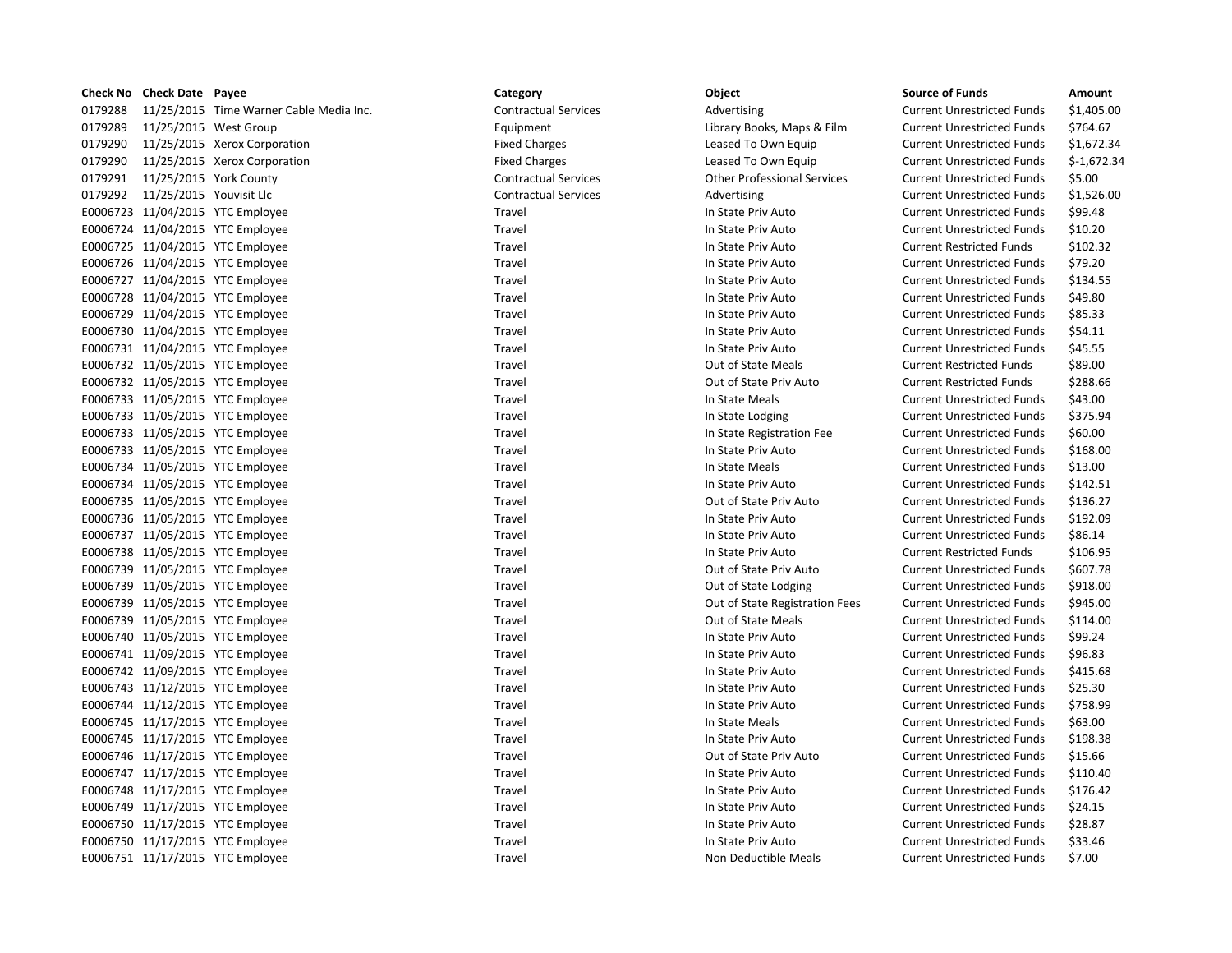|         | Check No Check Date Payee       |                                         | Category                    | Object                             | <b>Source of Funds</b>            | Amount     |
|---------|---------------------------------|-----------------------------------------|-----------------------------|------------------------------------|-----------------------------------|------------|
| 0179288 |                                 | 11/25/2015 Time Warner Cable Media Inc. | <b>Contractual Services</b> | Advertising                        | <b>Current Unrestricted Funds</b> | \$1,405.0  |
| 0179289 |                                 | 11/25/2015 West Group                   | Equipment                   | Library Books, Maps & Film         | <b>Current Unrestricted Funds</b> | \$764.67   |
| 0179290 |                                 | 11/25/2015 Xerox Corporation            | <b>Fixed Charges</b>        | Leased To Own Equip                | <b>Current Unrestricted Funds</b> | \$1,672.3  |
| 0179290 |                                 | 11/25/2015 Xerox Corporation            | <b>Fixed Charges</b>        | Leased To Own Equip                | <b>Current Unrestricted Funds</b> | $$-1,672.$ |
| 0179291 | 11/25/2015 York County          |                                         | <b>Contractual Services</b> | <b>Other Professional Services</b> | <b>Current Unrestricted Funds</b> | \$5.00     |
|         | 0179292 11/25/2015 Youvisit Llc |                                         | <b>Contractual Services</b> | Advertising                        | <b>Current Unrestricted Funds</b> | \$1,526.0  |
|         |                                 | E0006723 11/04/2015 YTC Employee        | Travel                      | In State Priv Auto                 | <b>Current Unrestricted Funds</b> | \$99.48    |
|         |                                 | E0006724 11/04/2015 YTC Employee        | Travel                      | In State Priv Auto                 | <b>Current Unrestricted Funds</b> | \$10.20    |
|         |                                 | E0006725 11/04/2015 YTC Employee        | Travel                      | In State Priv Auto                 | <b>Current Restricted Funds</b>   | \$102.32   |
|         |                                 | E0006726 11/04/2015 YTC Employee        | Travel                      | In State Priv Auto                 | <b>Current Unrestricted Funds</b> | \$79.20    |
|         |                                 | E0006727 11/04/2015 YTC Employee        | Travel                      | In State Priv Auto                 | <b>Current Unrestricted Funds</b> | \$134.55   |
|         |                                 | E0006728 11/04/2015 YTC Employee        | Travel                      | In State Priv Auto                 | <b>Current Unrestricted Funds</b> | \$49.80    |
|         |                                 | E0006729 11/04/2015 YTC Employee        | Travel                      | In State Priv Auto                 | <b>Current Unrestricted Funds</b> | \$85.33    |
|         |                                 | E0006730 11/04/2015 YTC Employee        | Travel                      | In State Priv Auto                 | <b>Current Unrestricted Funds</b> | \$54.11    |
|         |                                 | E0006731 11/04/2015 YTC Employee        | Travel                      | In State Priv Auto                 | <b>Current Unrestricted Funds</b> | \$45.55    |
|         |                                 | E0006732 11/05/2015 YTC Employee        | Travel                      | Out of State Meals                 | <b>Current Restricted Funds</b>   | \$89.00    |
|         |                                 | E0006732 11/05/2015 YTC Employee        | Travel                      | Out of State Priv Auto             | <b>Current Restricted Funds</b>   | \$288.66   |
|         |                                 | E0006733 11/05/2015 YTC Employee        | Travel                      | In State Meals                     | <b>Current Unrestricted Funds</b> | \$43.00    |
|         |                                 | E0006733 11/05/2015 YTC Employee        | Travel                      | In State Lodging                   | <b>Current Unrestricted Funds</b> | \$375.94   |
|         |                                 | E0006733 11/05/2015 YTC Employee        | Travel                      | In State Registration Fee          | <b>Current Unrestricted Funds</b> | \$60.00    |
|         |                                 | E0006733 11/05/2015 YTC Employee        | Travel                      | In State Priv Auto                 | <b>Current Unrestricted Funds</b> | \$168.00   |
|         |                                 | E0006734 11/05/2015 YTC Employee        | Travel                      | In State Meals                     | <b>Current Unrestricted Funds</b> | \$13.00    |
|         |                                 | E0006734 11/05/2015 YTC Employee        | Travel                      | In State Priv Auto                 | <b>Current Unrestricted Funds</b> | \$142.51   |
|         |                                 | E0006735 11/05/2015 YTC Employee        | Travel                      | Out of State Priv Auto             | <b>Current Unrestricted Funds</b> | \$136.27   |
|         |                                 | E0006736 11/05/2015 YTC Employee        | <b>Travel</b>               | In State Priv Auto                 | <b>Current Unrestricted Funds</b> | \$192.09   |
|         |                                 | E0006737 11/05/2015 YTC Employee        | Travel                      | In State Priv Auto                 | <b>Current Unrestricted Funds</b> | \$86.14    |
|         |                                 | E0006738 11/05/2015 YTC Employee        | Travel                      | In State Priv Auto                 | <b>Current Restricted Funds</b>   | \$106.95   |
|         |                                 | E0006739 11/05/2015 YTC Employee        | Travel                      | Out of State Priv Auto             | <b>Current Unrestricted Funds</b> | \$607.78   |
|         |                                 | E0006739 11/05/2015 YTC Employee        | Travel                      | Out of State Lodging               | <b>Current Unrestricted Funds</b> | \$918.00   |
|         |                                 | E0006739 11/05/2015 YTC Employee        | Travel                      | Out of State Registration Fees     | <b>Current Unrestricted Funds</b> | \$945.00   |
|         |                                 | E0006739 11/05/2015 YTC Employee        | Travel                      | Out of State Meals                 | <b>Current Unrestricted Funds</b> | \$114.00   |
|         |                                 | E0006740 11/05/2015 YTC Employee        | Travel                      | In State Priv Auto                 | <b>Current Unrestricted Funds</b> | \$99.24    |
|         |                                 | E0006741 11/09/2015 YTC Employee        | Travel                      | In State Priv Auto                 | <b>Current Unrestricted Funds</b> | \$96.83    |
|         |                                 | E0006742 11/09/2015 YTC Employee        | Travel                      | In State Priv Auto                 | <b>Current Unrestricted Funds</b> | \$415.68   |
|         |                                 | E0006743 11/12/2015 YTC Employee        | Travel                      | In State Priv Auto                 | <b>Current Unrestricted Funds</b> | \$25.30    |
|         |                                 | E0006744 11/12/2015 YTC Employee        | Travel                      | In State Priv Auto                 | <b>Current Unrestricted Funds</b> | \$758.99   |
|         |                                 | E0006745 11/17/2015 YTC Employee        | Travel                      | In State Meals                     | <b>Current Unrestricted Funds</b> | \$63.00    |
|         |                                 | E0006745 11/17/2015 YTC Employee        | Travel                      | In State Priv Auto                 | <b>Current Unrestricted Funds</b> | \$198.38   |
|         |                                 | E0006746 11/17/2015 YTC Employee        | Travel                      | Out of State Priv Auto             | <b>Current Unrestricted Funds</b> | \$15.66    |
|         |                                 | E0006747 11/17/2015 YTC Employee        | Travel                      | In State Priv Auto                 | <b>Current Unrestricted Funds</b> | \$110.40   |
|         |                                 | E0006748 11/17/2015 YTC Employee        | Travel                      | In State Priv Auto                 | <b>Current Unrestricted Funds</b> | \$176.42   |
|         |                                 | E0006749 11/17/2015 YTC Employee        | <b>Travel</b>               | In State Priv Auto                 | <b>Current Unrestricted Funds</b> | \$24.15    |
|         |                                 | E0006750 11/17/2015 YTC Employee        | Travel                      | In State Priv Auto                 | <b>Current Unrestricted Funds</b> | \$28.87    |
|         |                                 | E0006750 11/17/2015 YTC Employee        | Travel                      | In State Priv Auto                 | <b>Current Unrestricted Funds</b> | \$33.46    |
|         |                                 | F0006751 11/17/2015 YTC Employee        | Travel                      | Non Deductible Meals               | Current Unrestricted Funds        | \$7.00     |